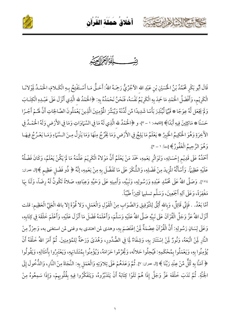





بنيَّــــــــــــاللّه الرّجماليّ

قَالَ أَبُو بَكْرٍ مُحَمَّدُ بْنُ اخْسَيْنِ بْنِ عَبْدِ الله الآجُرِّيُّ رَحِمَهُ اللهُ: أَحَـقُّ مَـا أَسْـتَفْتِحُ بِـهِ الْكَـلامَ، الْحَمْـدُ لِمَوْلانَـا الْكَرِيْمِ، وَأَفْضَلُ الْحَمْدِ مَا حَمِدَ بِهِ الْكَرِيْمُ نَفْسَهُ، فَنَحْنُ نَحْمَدُهُ بِهِ: ﴿الْحَمْدُ لله الَّذِي أَنْزَلَ عَلَى عَبْدِهِ الْكِتَـابَ وَلَمْ يَجْعَل لَّهُ عِوَجًا ۞ قَيَّمَا لِّيُنْذِرَ بَأْسًا شَدِيدًا مِّن لَّدُنْهُ وَيُبَشِّرَ الْمُؤْمِنِينَ الَّذِينَ يَعْمَلُونَ الصَّالِحَاتِ أَنَّ لَهُمْ أَجْـرًا حَسَنًا ۞ مَاكِثِينَ فِيهِ أَبَدًا﴾ [الكهف: ١ – ٢]، و ﴿الْحَمْدُ لله الَّذِي لَهُ مَا فِي السَّهَاوَاتِ وَمَا فِي الأَرْض وَلَهُ الْحَمْـدُ فِي الآَخِرَةِ وَهُوَ الْحَكِيمُ الْخَبِيرُ \* يَعْلَمُ مَا يَلِجُ فِي الأَرْضِ وَمَا يَخْرُجُ مِنْهَا وَمَا يَنْزِلُ مِنَ السَّمَاءِ وَمَا يَعْرُجُ فِيهَا وَهُوَ الرَّحِيمُ الْغَفُورُ﴾ [سبأ: ١ – ٢].

أَحْمَدُهُ عَلَى قَدِيْم إِحْسَانِهِ، وَتَوَاتُرِ نِعَمِهِ، حَمْدَ مَنْ يَعْلَمُ أَنَّ مَوْلاهُ الْكَرِيْمَ عَلَّمَهُ مَا لَمْ يَكُنْ يَعْلَمُ، وَكَانَ فَضْلُهُ عَلَيْهِ عَظِيَمًا. وَأَسْأَلُهُ المُزِيدَ مِنْ فَضْلِهِ، وَالشُّكْرَ عَلَى مَا تَفَضَّلَ بِهِ مِنْ نِعَمِهِ، إنَّهُ ﴿ ذُو فَضْلٍ عَظِيمٍ ﴾[ال عمران: ١٧٤]. وَصَلَّى اللهُ عَلَى مُحَمَّدٍ عَبْدِهِ وَرَسُولِهِ، وَنَبِيِّهِ، وَأَمِينِهِ عَلَى وَحَيِّهِ وَعِبَادِهِ، صَلاةً تَكُونُ لَهُ رِضَاً، وَلَنَا بِهَا مَغْفِرَةً، وَعَلَى آلِهِ أَجْمَعِينَ، وَسَلَّم تسليبا كَثِيرَاً طَيِّبَاً.

أمَّا بَعْدُ. . فَإِنِّي قَائِلٌ، وَبِالله أَثِقُ لِلتَّوْفِيقِ وَالصَّوَابِ مِنْ الْقَوْلِ وَالْعَمَلِ، وَلا قُوْةَ إِلا بالله الْعَلِيِّ الْعَظِيم: قلت أَنْزَلَ اللهُ عَزَّ وَجَلَّ الْقُرْآنَ عَلَى نَبِيِّهِ صَلَّى اللهُ عَلَيْهِ وَسَلَّمَ، وَأَعْلَمَهُ فَضْلَ مَا أَنْزَلَ عَلَيْهِ، وَأَعْلَمَ خَلْقَهَ فِي كِتَابِهِ، وَعَلَى لِسَانِ رَسُولِهِ: أَنَّ الْقُرْآنَ عِصْمَةٌ لَمِنْ اِعْتَصَمَ بِهِ، وهدى لمن اهتدى به وغنى لمن استغنى به، وَحِرْزٌ مِنْ النَّارِ لَمِنْ اتَّبَعَهُ، وَنُورٌ لَمِنْ اِسْتَنَارَ بِهِ، وَشِفَاءٌ لَمِا فِي الصُّدُورِ، وَهُدَىً وَرَحَمُّ لِلمُؤمِنِينَ. ثُمَّ أَمَرَ اللهُ خَلْقَهُ أَنْ يُؤْمِنُوا بِهِ، وَيَعْمَلُوا بِمُحْكَمِهِ: فَيُحِلُوا حَلالَه، وَيُحَرِّمُوا حَرَامَهُ، وَيُؤْمِنُوا بِمُتَشَابَهِهِ، وَيَعْتَبِرُوا بِأَمْثَالِهِ، وَيَقُولُوا ﴿ آمَنَّا بِهِ كُلٌّ مِّنْ عِنْدِ رَبِّنَا ﴾ [ال عمران: ٧]. ثُمَّ وَعَدَهُمْ عَلَى تِلاوَتِهِ وَالْعَمَل بِهِ: النَّجَاةَ مِنْ النَّارِ، وَالدُّخُولَ إِلَى الْجَنَّةِ. ثُمَّ نَدَبَ خَلْقَهَ عَزَّ وَجَلَّ إِذَا هُمْ تَلَوْا كِتَابَهُ أَنْ يَتَدَبَّرُوهُ، وَيَتَفَكَّرُوا فِيهِ بِقُلُوبِهِمْ، وَإِذَا سَمِعُوهُ مِنْ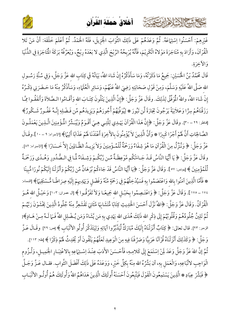

أخلاق حملة القرآن ِ ِ ْ ُ ْ َ َ َ ُ ْ َ

كالحشيخ الشاها ارتقت

غَيْرِهِمْ: أَحْسَنُوا اِسْتِهَاعَهُ. ثُمَّ وَعَدَهُمْ عَلَى ذَلِكَ الثَّوَابَ الْجَزِيلَ، فَلَهُ الْحَمْدُ. ثُمَّ أَعْلَمَ خَلْقَهَ: أَنْ مَنْ تَلا í الْقُرْآنَ، وَأَرَادَ بِهِ مُتَاجَرَةَ مَوْلاهُ الْكَرِيْمَ، فَأَنَّهُ يُرْبِحُهُ الرِّبْحَ الِّذِي لا بَعْدَهُ رِبْحٌ، وَيُعَرِّفُهُ بَرَكَةَ الْمُتَاجَرَةِ فِي الدُّنْيَا رَّفَهُ بَرَكَةُ المَتَاجَرَ وَالآخِرَةِ.

قَالَ مُحَمَّدُ بْنُ الْحُسَيْنِ: جَمِيعُ مَا ذَكَرْتُهُ، وَمَا سَأَذْكُرُهُ إِنْ شَاءَ اللهُ، بَيَانُهُ فَي كِتَابِ اللهِ عَزَّ وَجَلَّ، وَفِي سُنَّةِ رَسُـولِ اللهِ صَلَّى اللهُ عَلَيْهِ وَسَلَّمَ، وَمِنْ قَوْلِ صَحَابَتِهِ رَضِيَ اللهُ عَنْهُمْ مِنْ قَوْلِ صَحَابَتِهِ رَضِيَ اللهُ عَنْهُمْ، وَسَائِرِ الْعُلَمَاءِ وَسَائِرِ الْعُلَمَاءِ، وَسَأَذْكُرُ مِنْهُ مَا حَـضَرَنِي ذِكْـرُهُ أَذْكُرُ مِنْهُ مَا حَـضَرَ  $\ddot{\cdot}$ إِنْ شَاءَ اللهُ، واللهُ الْمُوَفِّقُ لِذَلِكَ. وقَالَ عَزَّ وَجَلَّ: ﴿إِنَّ الَّذِينَ يَتْلُونَ كِتَـابَ اللهِ وَأَقَـامُوا الـصَّلاَةَ وَأَنفَقُـوا مِّـَا رَزَقْنَاهُمْ سِرًّا وَعَلاَنِيَةً يَرْجُونَ تِجَارَةً لَّن تَبُورَ ۞ لِيُوَفَّيَهُمْ أُجُورَهُمْ وَيَزِيدَهُم مِّن فَـضْلِهِ إِنَّـهُ غَفُـورٌ شَـكُورٌ﴾ [فاطر: ٢٩ - ٣٠]. وقَالَ عَزَّ وَجَلَّ: ﴿إِنَّ هَذَا الْقُرْآنَ يَهْدِي لِلَّتِـي هِـيَ أَقْـوَمُ وَيُبَـشِّرُ الْمُؤْمِنِينَ الَّـذِينَ يَعْمَلُـونَ الصَّالِحَاتِ أَنَّ هُمْ أَجْرًا كَبِيرًا ۞ وَأَنَّ الَّذِينَ لاَ يُؤْمِنُونَ بِالأَخِرَةِ أَعْتَدْنَا هُمْ عَذَابًا أَلِيمًا﴾ [الإسراء: ٩ - ١٠].وقَـالَ عَزَّ وَجَلَّ: ﴿ وَنُنَزِّلُ مِنَ الْقُرْآنِ مَا هُوَ شِفَاءٌ وَرَحْمَةٌ لِّلْمُ ؤْمِنِينَ وَلاَ يَزِيـدُ الظَّـالِينَ إِلاَّ خَـسَارًا ﴾ [الإسراء: ٨٢]. وقَالَ عَزَّ وَجَلَّ: ﴿ يَا أَيُّهَا النَّاسُ قَـدْ جَـاءَتْكُم مَّوْعِظَـةٌ مِّـن رَّبِّكُـمْ وَشِـفَاءٌ لِّمَا فِي الـصُّدُورِ وَهُـدًى وَرَحْمَةٌ لِّلْمُؤْمِنِينَ ﴾ [يونس: ٥٧]. وَقَالَ عَزَّ وَجَلَّ: ﴿يَا أَيُّهَا النَّاسُ قَدْ جَاءَكُمْ بُرْهَانٌ مِّن رَّبِّكُمْ وَأَنْزَلْنَا إِلَيْكُمْ نُورًا مُّبِينًا \* فَأَمَّا الَّذِينَ آمَنُوا بِاللهِ وَاعْتَصَمُوا بِهِ فَسَيُدْخِلُهُمْ فِي رَحْمَةٍ مِّنْهُ وَفَضْلٍ وَيَهْدِيهِمْ إِلَيْهِ صِرَاطًا مُّـسْتَقِيمًا﴾ [النساء: ١٧٤ ــ ١٧٥]. وَقَالَ عَزَّ وَجَلَّ: ﴿ وَاعْتَـصِمُوا بِحَبْـلِ اللهِ جَمِيعًــا وَلاَ تَفَرَّقُـوا ﴾ [آل عمران: ١٠٣] وَحَبْـلُ الله هُــوَ الْقُرْآنُ. وَقَالَ عَزَّ وَجَلَّ: ﴿اللهُ نَزَّلَ أَحْسَنَ الْحَدِيثِ كِتَابًا مُّتَشَابِهًا مَّثَانِيَ تَقْشَعِرُّ مِنْهُ جُلُودُ الَّذِينَ يَخْشَوْنَ رَبَّهُـمْ ثُمَّ تَلِينُ جُلُودُهُمْ وَقُلُوبُهُمْ إِلَى ذِكْرِ اللهِ ذَلِكَ هُدَى اللهِ يَهْدِي بِهِ مَن يَّشَاءُ وَمَن يُـضْـلِلِ اللهُ فَــَمَا لَــهُ مِــنْ هَــادٍ﴾[ الزمر: ٢٣]. قال تعالى: ﴿ كِتَابٌ أَنْزَلْنَاهُ إِلَيْكَ مُبَارَكٌ لِّيَدَّبَّرُوا آيَاتِهِ وَلِيَتَذَكَّرَ أُولُو الألْبَابِ ﴾ [ص: ٢٩] وقَـالَ عَـزَّ وَجَلَّ: ﴿ وَكَذَلِكَ أَنْزَلْنَاهُ قُرْآنًا عَرَبِيًّا وَصَرَّفْنَا فِيهِ مِنَ الْوَعِيدِ لَعَلَّهُمْ يَتَّقُونَ أَوْ يُحْدِثُ لَهُمْ ذِكْرًا ﴾ [طه: ١١٣].  $\leq$ : ثُمَّ إنَّ اللهَ عَزَّ وَجَلَّ وَعَدَ لِمَنْ اِسْتَمَعَ إِلَى كَلامِهِ، فَأَحْسَنَ الأَدَبَ عِنْـدَ اِسْـتِهَاعِهِ بِالاعْتِبَـارِ الْجَمِيـلِ، وَلُـزُومِ į í الْوَاجِبِ لاتَّبَاعِهِ، وَالْعَمَلِ بِهِ، أَن بَشِّرُهُ الله مِنْهُ بِكِلِّ خَيْرٍ، وَوَعَدَهُ عَلَى ذَلِكَ أَفْضَلَ الثَّوابِ. فقـال عَـزَّ وَجَـلَّ  $\frac{1}{2}$ ﴿ فَبَشِّرْ عِبَادِ ۞ الَّذِينَ يَسْتَمِعُونَ الْقَوْلَ فَيَتَّبِعُونَ أَحْسَنَهُ أُولَئِكَ الَّذِينَ هَدَاهُمُ اللهُ وَأُولَئِكَ هُمْ أُولُـو الألْبَـابِ ֚֚֬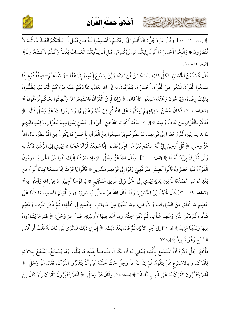

أخلاق حملة القرآن ِ ِ ْ ُ ْ َ َ َ ُ ْ َ

كالحشيم الشاهاير تعت

﴾ [الزمر: ١٧ - ١٨]. وقَالَ عَزَّ وَجَلَّ: ﴿وَأَنِيبُوا إِلَى رَبِّكُمْ وَأَسْـلِمُوا لَـهُ مِـن قَبْـلٍ أَن يَـأْتِيَكُمُ الْعَـذَابُ ثُـمَّ لاَ تُنْصَرُونَ ۞ وَاتَّبِعُوا أَحْسَنَ مَا أُنْزِلَ إِلَيْكُم مِّن رَّبِّكُم مِّن قَبْلِ أَن يَـأْتِيَكُمُ الْعَـذَابُ بَغْتَـةً وَأَنْـتُمْ لاَ تَـشْعُرُونَ﴾ [الزمر: ٥٤ – ٥٥].

قَالَ مُحَمَّدُ بْنُ الْحُسَيْنِ: فكلُّ كَلامٍ ربِّنا حَسَنٌ لِمَنْ تَلاهُ كَلامٍ ربِّنا حَسَنٌ لَمِنْ تَلاهُ، وَلَمِنْ اِسْتَمَعَ إِلَيْهِ، وَإِنَّهَا هَذَا –وَاللهُ أَعْلَمُ– صِفَةُ قَوْمٍ إِذَا سَمِعُوا الْقُرْآنَ تَتَّبَعُوا مِنْ الْقُرْآنِ أَحْسَنَ مَا يَتَقَرَّبُونَ به إِلَى اللهِ تَعَالَى، مِمَّا دَلَّهُمْ عَلَيْهِ مَوْلاهُمُ الْكَرِيْمُ، يَطْلُبُونَ j بِذَلِكَ رِضَاهُ، وَيَرْجُونَ رَحْمَتَهُ، سَمِعُوا اللهَ قَالَ ِّ سَمِعُوا اللهَ قَالَ: ﴿ وَإِذَا قُرِئَ الْقُرْآنُ فَاسْتَمِعُوا لَهُ وَأَنصِتُوا لَعَلَّكُمْ تُرْحَمُونَ ﴾ الأعراف: ٢٠٤]، فَكَانَ حُسْنُ اِسْتِهَاعِهِمْ يَبْعَثُهُمْ عَلَى التَّذَكُّرِ فِيهَا لَهُمْ وَعَلَيْهِمْ، وَسَمِعُوا اللهَ عَزَّ وَجَلَّ قَالَ سَمِعُوا اللهُ عَزْ وَجَلَّ قَالَ: ﴿ فَذَكِّرْ بِالْقُرْآنِ مَن يَخَافُ وَعِيدِ ﴾ [ق: ٤٠].وَقَدْ أَخْبَرَنَا اللهُ عَنِ الْجِنِّ، في حُسْنِ اِسْتِهَاعِهِمْ لِلْقُرْآنِ ļ كُسْنِ اِسْتِهَاعِهِمْ لِلْقُرْآنِ، وَاِسْتِجَابَتِهِمْ لما ندبهم إِلَيْهِ، ثُمَّ رَجَعُوا إِلَى قَوْمِهِمْ  $\ddot{\cdot}$ ثُمَّ رَجَعُوا إِلَى قَوْمِهِمْ، فَوَعَظُوهُمْ بِهَا سَمِعُوا مِنْ الْقُرْآنِ بِأَحْسَنَ مَا يَكُونُ مِنْ المُوْعِظَةِ. قَالَ اللهُ عَزَّ وَجَلَّ: ﴿ قُلْ أُوحِيَ إِلَيَّ أَنَّهُ اسْتَمَعَ نَفَرٌ مِّنَ الْجِنِّ فَقَالُوا إِنَّا سَمِعْنَا قُرْآنًا عَجَبًا ۞ يَهْدِي إِلَى الرُّشْدِ فَآمَنَّا بِهِ 1 وَلَن نُّشْرِكَ بِرَبِّنَا أَحَدًا ﴾ [الجن: ١ – ٢]. وقَالَ اللهُ عَزَّ وَجَلَّ: ﴿وَإِذْ صَرَفْنَا إِلَيْكَ نَفَرًا مِّنَ الْجِنِّ يَسْتَمِعُونَ الْقُرْآنَ فَلَمَّا حَضَرُوهُ قَالُوا أَنْصِتُوا فَلَمَّا قُضِيَ وَلَّوْا إِلَى قَوْمِهِم مُّنْذِرِينَ  $\ddot{\phantom{0}}$ لْقُرْآنَ فَلَمَّا حَضَرُوهُ قَالُوا أَنْصِتُوا فَلَمَّا قُضِيَ وَلَّوْا إِلَى قَوْمِهِم مُّنْذِرِينَ ۞ قَالُوا يَا قَوْمَنَا إِنَّا سَمِعْنَا كِتَابًا أُنْزِلَ مِن بَعْدِ مُوسَى مُصَدِّقًا لَمَّا بَيْنَ يَدَيْهِ يَهْدِي إِلَى الْحَقّْ وَإِلَى طَرِيقٍ مُّسْتَقِيمٍ ۞ يَا قَوْمَنَا أَجِيبُوا دَاعِيَ اللهِ وَآمِنُوا بِهِ﴾ 1 [الأحقاف: ٢٩ – ٣١].قَالَ مُحَمَّدُ بْنُ الْحُسَيْنِ: وَقَدْ قَالَ اللهُ عَزَّ وَجَلَّ فِي سُورَةِ ق وَالْقُرْآنِ المُجِيدِ وَقَدْ قَالَ اللهُ عَزَّ وَجَلَّ فِي سُورَةِ ق وَالْقُرْآنِ الْمَجِيدِ، مَا دَلَّنَا عَلَى عَظِيمٍ مَا خَلَقَ مِنْ السَّمَاوَاتِ وَالأَرْضِ، وَمَا بَيْنَهُمَا مِنْ عَجَائِبِ حِكْمَتِهِ فِي خَلْقِهِ، ثُمَّ ذَكَرَ المُوْتَ وَعَظِمَ  $\leq$ شَأْنه، ثُمَّ ذَكَرَ النَّارَ وَعَظِمَ شَأْنها، ثُمَّ ذَكَرَ الجنَّة، وما أَعَدَّ فِيهَا لأَوْلِيَائِهِ، فَقَالَ عَزَّ وَجَلَّ: ﴿ لَهُم مَّا يَشَاءُونَ أ فِيهَا وَلَدَيْنَا مَزِيدٌ ﴾ [ق: ٣٥] إلى آخِرِ الآيَةِ، ثُمَّ قَالَ بَعْدَ ذَلِكَ: ﴿ إِنَّ فِي ذَلِكَ لَذِكْرَى لَمِنْ كَانَ لَهُ قَلْبٌ أَوْ أَلْقَى السَّمْعَ وَهُوَ شَهِيدٌ ﴾ [ق: ٢٧].

فَأَخْبَرَ جَلَّ ذِكْرُهُ أَنَّ الْمُسْتَمِعَ بِأَذْنَيْهِ يَنْبَغِي له أَنْ يَكُونَ مشَاهِدَاً بِقَلْبِهِ مَا يَتْلُو، وَمَا يَسْتمَعُ، لِيَنْتَفِعَ بِتِلاوَتِهِ  $\leq$  $\ddot{\phantom{0}}$  $\overline{\phantom{a}}$ لِلْقُرْآنِ، و بِالاسْتِهَاعِ مِمَّنْ يَتْلُوهُ. ثُمَّ إنَّ اللهَ عَزَّ وَجَلَّ حَثَّ خَلْقَهُ عَلَى أَنْ يَتَدَبَّرُوا الْقُرْآنَ، فَقَالَ عَزَّ وَجَلَّ: ﴿ ز أَفَلاَ يَتَدَبَّرُونَ الْقُرْآنَ أَمْ عَلَى قُلُوبٍ أَقْفَاهُمَا ﴾ [محمد: ٢٤]. وقَالَ عَزَّ وَجَلَّ: ﴿ أَفَلاَ يَتَدَبَّرُونَ الْقُرْآنَ وَلَوْ كَانَ مِنْ Í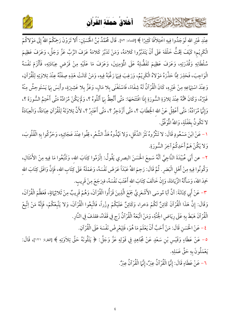



عِنْدِ غَيْرِ الله لَوَجَدُوا فِيهِ اخْتِلاَفًا كَثِيرًا ﴾ [النساء: ٨٢]. قَالَ مُحَمَّدُ بْنُ الْحُسَيْنِ: أَلا تَرَوْنَ رَحِمَكُمْ اللهُ إِلَى مَوْلاكُمْ الْكَرِيْم؛ كَيْفَ يَحُثُّ خَلْقَهَ عَلَى أَنْ يَتَدَبَّرُوا كَلامَهُ، وَمَنْ تَدَبَّرَ كَلامَهُ عَرَفَ الرَّبّ عَزَّ وَجَلَّ، وَعَرَفَ عَظِيمَ سُلْطَانِهِ وَقُدْرَتِهِ، وَعَرَفَ عَظِيمَ تَفَضُّلِهُ عَلَى الْمُؤمِنِينَ، وَعَرَفَ مَا عَلَيْهِ مِنْ فَرْضٍ عِبَادَتِهِ، فَأَلْزَمَ نَفْسَهُ الْوَاجِبَ، فَحَذِرَ مِمَّا حَذَّرَهُ مَوْلاهُ الْكَرِيْمُ، وَرَغِبَ فِيهَا رَغَّبَهُ فِيهِ، وَمَنْ كَانَتْ هَذِهِ صِفْتُهُ عِنْدَ تِلاوَتِهِ لِلْقُرْآنِ، وَعِنْدَ اسْتِهَاعِهِ مِنْ غَيْرِهِ، كَانَ الْقُرْآنُ لَهُ شِفَاءً، فَاسْتَغْنَى بِلا مَالٍ، وَعَزَّ بِلا عَشِيرَةٍ، وأَنِسَ بِهَا يَسْتَوحِشُ مِنْهُ غَيْرُهُ، وَكَانَ هَمُّهُ عِنْدَ تِلاوَةِ السُّورَةِ إِذَا افْتَتَحَهَا: مَتَّى أَتَّعِظُ بِهَا أَتْلُوهُ ؟، وَلَمْ يَكُنْ مُرَادُهُ مَتَّى أَخْتِمُ السُّورَةَ ؟، وَإِنَّهَا مُرَادُهُ: مَتَّى أَعْقِلُ عَنْ الله الخِطَابَ ؟، مَتَّى أَزْدَجِرُ ؟، مَتَّى أَعْتَبِرُ ؟، لأَنَّ تِلاوَتَهُ لِلْقُرْآنِ عِبَادَةٌ، وَالْعِبَادَةُ لا تَكُونُ بِغَفْلَةٍ، وَاللهُ الْمُوَفَّقُ.

١- عَنْ ابْنَ مَسْعُودٍ قَالَ: لا تَنْثُرُوهُ نَثْرَ الدَّقْلِ، وَلا تَهُذُوهُ هَذَّ الشُّعْرِ، قِفُوا عِنْدَ عَجَائِبِهِ، وَحَرِّكُوا بِهِ الْقُلُوبَ، وَلا يَكُنْ هَمَّ أَحَدِكُمْ آخِرَ السُّورَةِ.

٢– عن أَبَي عُبَيْدَةَ النَّاجِيَّ أنَّهُ سَمِعَ الْحَسَنَ البصري يَقُولُ: اِلْزَمُوا كِتَابَ الله، وَتَتَّبحُوا مَا فِيهِ مِنْ الأَمْثَالِ، وَكُونُوا فِيهِ مِنْ أَهْلِ الْبَصَرِ. ثُمَّ قَالَ: رَحِمَ اللهُ عَبْدَاً عَرَضَ نَفْسَهُ، وَعَمْلَهُ عَلَى كِتَابِ الله، فَإِنَّ وَافَقَ كِتَابَ الله حَمِدَ اللهَ، وَسَأَلَهُ الزِّيَادَةَ، وَإِنْ خَالَفَ كِتَابَ الله أَعْتَبَ نَفْسَهُ، فيرَجَعَ مِنْ قَرِيبٍ.

٣- عَنْ أَبِي كِنَانَةَ: أَنَّ أَبَا مُوسَى الأَشْعَرِيَّ جَمَعَ الَّذِينَ قَرَأُوا الْقُرْآنَ، وَهُمْ قَرِيبٌ مِنْ ثَلاثِهَائِهِ، فَعَظَّمَ الْقُرْآنَ، وَقَالَ: إِنَّ هَذَا الْقُرْآنَ كَائِنٌ لَكُمْ ذخرا، وَكَائِنٌ عَلَيْكُمْ وِزْراً، فَاتَّبِعُوا الْقُرْآنَ، وَلا يَتَّبعْكُمْ، فَإِنَّهُ مَنْ اِتَّبعْ الْقُرْآنَ هَبَطَ بِهِ عَلَى رِيَاضِ الْجَنَّةِ، وَمَنْ اتَّبَعَهُ الْقُرْآنُ زَجٍ فِي قَفَاهُ، فقذفَ فِي النَّارِ.

٤ – عَنْ الْحَسَن قَالَ: مَنْ أَحَبَّ أَنْ يَعْلَمَ مَا هُوَ، فَلِيَعْرِضْ نَفْسَهَ عَلَى الْقُرْآنِ.

٥– عَنْ عَطَاءٍ وَقَيْس بْنِ سَعْدٍ عَنْ مُجَاهِدٍ فِي قَوْلِهِ عَزَّ وَجَلَّ: ﴿ يَتْلُونَهُ حَقَّ تِلاَوَتِهِ ﴾ [البقرة: ١٢١]، قَالَ: يَعْمَلُونَ بِهِ حَقَّ عَمَلِهِ.

٦ – عَنْ عَطَاءٍ قَالَ: إِنَّمَا الْقُرْآنُ عِبَرٌ، إِنَّمَا الْقُرْآنُ عِبَرٌ.

كالحشيخ الشاها ارتقت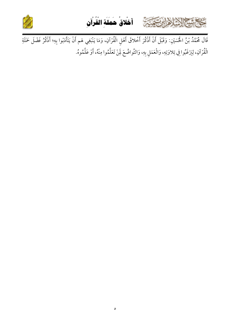





الْقُرْآنِ، لِيَرْغَبُوا فِي تِلاوَتِهِ، وَالْعَمَلِ بِهِ، وَالتَّواضُعَ لَمِنْ تَعَلَّمُوا مِنْهُ، أَوْ عَلَّمُوهُ.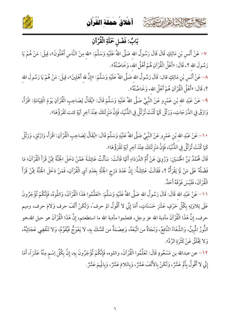





### بَابُ: فَضْلِ حَمَلَةِ الْقُرْآنِ

٧- عَنْ أَنَسٍ بْنِ مَالِكٍ قَالَ قَالَ رَسُولُ الله صَلَّى اللهُ عَلَيْهِ وَسَلَّمَ: «لله مِنْ النَّاسِ أَهْلُونَ»، قِيلَ: مَنْ هُمْ يَا رَسُولَ الله ؟، قَالَ: «أَهْلُ الْقُرْآنِ هُمْ أَهْلُ الله، وَخَاصَّتُهُ».

٨– عَنْ أَنَس بْنِ مَالِكٍ قال: قَالَ رَسُولُ الله صَلَّى اللهُ عَلَيْهِ وَسَلَّمَ: «إِنَّ لله أَهْلِينَ»، قِيلَ: مَنْ هُمْ يَا رَسُولَ الله ؟، قَالَ: «أَهْلُ الْقُرْآنِ هُمْ أَهْلُ الله، وَخَاصَّتُهُ».

٩- عَنْ عَبْدِ الله بْنِ عَمْرِو عَنْ النَّبِيِّ صَلَّى اللهُ عَلَيْهِ وَسَلَّمَ قَالَ: «يُقَالُ لِصَاحِبِ الْقُرْآنِ يَوْمَ الْقِيَامَةِ: اقْرَأْ، وَارْقَ فِي الدَّرَجَاتِ، وَرَتِّلْ كَمَا كُنْتَ تُرَتِّلُ فِي الدُّنْيَا، فَإِنَّ مَنْزِلَتَكَ عِنْدَ آخِرِ آيَةٍ كنت تَقْرَؤُهَا».

١٠ – عَنْ عَبْدِ الله بْنِ عَمْرٍو عَنْ النَّبِيِّ صَلَّى اللهُ عَلَيْهِ وَسَلَّمَ قَالَ: «يُقَالُ لِصَاحِبِ الْقُرْآنِ: اقْرَأْ، وَارْتَقِ، وَرَتِّلْ كَمَا كُنْتَ تُرَنَّلُ فِي الدُّنْيَا، فَإِنَّ مَنْزِلَتَكَ عِنْدَ آخِرِ آيَةٍ تَقْرَؤُهَا».

قَالَ مُحَمَّدُ بْنُ الْحُسَيْنِ: وَرُوِيَ عَنْ أُمِّ الدَّرَدَاءِ أَنَّهَا قَالَتْ: سَأَلْتُ عَائِشَةَ عَمَّنْ دَخَلَ الْجُنَّةَ مِمَّنْ قَرَأَ الْقُرْآنَ؛ مَا فَضْلُهُ عَلَى مَنْ لَمْ يَقْرَأُهُ ؟، فَقَالَتْ عَائِشَةُ: إِنَّ عَدَدَ دَرَجِ الْجَنَّةِ بِعَدَدِ آيِ الْقُرْآنِ، فَمَنْ دَخَلَ الْجَنَّةَ مِمَّنْ قَرَأَ الْقُرْآنَ، فَلَيْسَ فَوْ قَهُ أَحَلٌ.

١١- عَنْ عَبْدِ الله قَالَ: قَالَ رَسُولُ الله صَلَّى اللهُ عَلَيْهِ وَسَلَّمَ: «تَعَلَّمُوا هَذَا الْقُرْآنَ، وَاتلُوهُ، فَإِنَّكُمْ تُؤْجَرُونَ عَلَى تِلاوَتِهِ بِكُلِّ حَرْفٍ عَشْرَ حَسَنَاتٍ، أَمَا إِنِّي لا أَقُولُ الم حرفَ ، وَلَكَنْ أَلَفَ حرف وَلامَ حرف، وميم حرف، إِنَّ هَذَا الْقُرْآنَ مأدبة الله عز وجل، فتعلموا مأدبة الله ما استطعتم، إِنَّ هَذَا الْقُرْآنَ هو حبل الله،هو النُّورُ الْمُبِينُ، وَالشِّفَاءُ النَّافِعُ، وَنَجَاةٌ من اتَّبَعَهُ، وَعِصْمَةٌ من تَمَسَّكَ بِهِ، لا يَعْوَجُ فَيْقَوَّمُ، وَلا تَنْقَضِى عَجَائِبُهُ، وَلا يَخْلَقُ عَنْ كَثْرَةِ الرَّدِّ».

١٢ – عن عبدالله بن مَسْعُودٍ قَالَ: تَعَلَّمُوا الْقُرْآنَ، واتلوه، فَإِنَّكُمْ تُؤْجَرُونَ بِهِ، إِنَّ بِكُلِّ اِسْم مِنْهُ عَشْرَاً، أَمَا إِنِّي لا أَقُولُ بِأَلَمَ عَشْرٌ، وَلَكَنْ بِالأَلَفَ عَشْرٌ، وَبِاللامَ عَشْرٌ، وَبِالْيِمَ عَشْرٌ.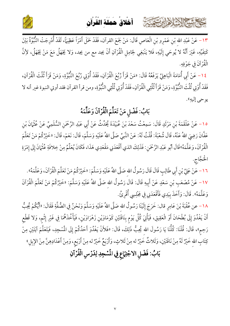

كالحشيم الشاهايرت عثث



١٣ – عَنْ عَبْدِ اللهِ بْنِ عَمْرِو بْنِ الْعَاصِ قَالَ: مَنْ جَمَعَ القرآن، فَقَدْ حَمَلَ أَمْرَاً عَظِيَمًا، لَقَدْ أُدْرِجَتْ النُّبُوَّةُ بَيْنَ كَتِفَيِّهِ، غَيْرَ أَنَّهُ لا يُوحَي إِلَيْهِ، فَلا يَنْبَغِي لِحَامِلِ الْقُرْآنِ أَنْ يجد مع من يجد، وَلا يَجْهَلُ مَعَ مَنْ يَجْهَلُ، لأِنَّ الْقُرْآنَ في جَوْفِهِ.

٤١- عَنْ أَبِي أُمَامَةَ الْبَاهِلِيِّ يَرْفَعُهُ قَالَ: «مَنْ قَرَأَ رُبُعَ الْقُرْآنِ، فَقَدْ أُوْتِي رُبُعَ النُّبُوَّةِ، وَمَنْ قَرَأَ ثُلُثَ الْقُرْآنِ، فَقَدْ أُوْتِي ثُلُثَ النُّبُوَّةِ، وَمَنْ قَرَأَ ثُلُثِي الْقُرْآنِ، فَقَدْ أُوْتِي ثُلُثِي النُّبُوَّةِ، ومن قرأ القرآن فقد أوتي النبوة غير أنه لا يوحي إليهِ».

# بَابُ: فَضْلِ مَنْ تَعَلَّمَ الْقُرْآنَ وَعَلَّمَهُ

١٥ – عَنْ عَلْقَمَةَ بْنِ مَرْثَدٍ قَالَ: سَمِعْتُ سَعْدَ بْنَ عُبَيْدَةَ يُحَدِّثُ عَنْ أَبِي عَبْدِ الرَّحْمَنِ السُّلَمِيِّ عَنْ عُثْمَانَ بْنِ عَفَّانَ رَضِيَ اللهُ عَنْهُ، قَالَ شُعْبَةَ: قُلْتُ لَهُ: عَنْ النَّبِيِّ صَلَّى اللهُ عَلَيْهِ وَسَلَّمَ، قَالَ: نَعَمْ، قَالَ: «خَيْرُكُمْ مَنْ تَعَلَّمَ الْقُرْآنَ، وَعَلَّمَهُ"قَالَ أَبُو عَبْدِ الرَّحْمَنِ: فَذَلِكَ الذي أَقْعَدَنِي مَقْعَدِي هَذَا، فَكَانَ يُعَلِّمُ مِنْ خِلافَةِ عُثْمَانَ إِلَى إِمْرَةِ الْحَجَّاج.

١٦ – عَنْ عَلِيِّ بْنِ أَبِي طَالِبِ قَالَ قَالَ رَسُولُ الله صَلَّى اللهُ عَلَيْهِ وَسَلَّمَ: «خَيْرُكُمْ مَنْ تَعَلَّمَ الْقُرْآنَ، وَعَلَّمَهُ». ١٧ – عَنْ مُصْعَبِ بْنِ سَعْدٍ عَنْ أَبِيهِ قَالَ: قَالَ رَسُولُ الله صَلَّى اللهُ عَلَيْهِ وَسَلَّمَ: «خَيْرُكُمْ مَنْ تَعَلَّمَ الْقُرْآنَ وَعَلَّمَهُ». قَالَ: وَأَخَذَ بِيَدِي فَأَقْعَدَنِي فِي مَجْلِسِي أُقْرِئُ.

١٨ – عن عُقْبَةَ بْنَ عَامِرٍ قال: خَرَجَ إِلَيْنَا رَسُولُ الله صَلَّى اللهُ عَلَيْهِ وَسَلَّمَ وَنَحْنُ فِي الصُّفَّةِ فَقَالَ: «أَيُّكُمْ يُحِبُّ أَنْ يَغْدُوَ إِلَى بُطْحَانَ أَوْ الْعَقِيقِ، فَيَأْتِيَ كُلَّ يَوْمٍ بِنَاقَتَيْنِ كَوْمَاوَيْنِ زَهْرَاوَيْنِ، فَيَأْخُذَهُمَا فِي غَيْرِ إِثْمٍ، وَلا قَطْعِ رَحِمِ»، قَالَ: قُلْنَا: كُلُّنَا يَا رَسُولَ الله يُحِبُّ ذَلِكَ، قَالَ: «فَلأَنْ يَغْدُوَ أَحَدُكُمْ إِلَى المُسْجِدِ، فَيَتَعَلَّمَ آيَتَيْنِ مِنْ كِتَابِ اللهِ خَيْرٌ لَهُ مِنْ نَاقَتَيْنِ، وَثَلاثٌ خَيْرٌ له مِنْ ثَلاثٍ، وَأَرْبَعٌ خَيْرٌ له مِنْ أَرْبَعٍ، وَمِنْ أَعْدَادِهِنَّ مِنْ الإِبِلِ» بَابُ: فَضْلِ الاجْتِهَاعِ فِي المُسْجِدِ لِدَرْسِ الْقُرْآنِ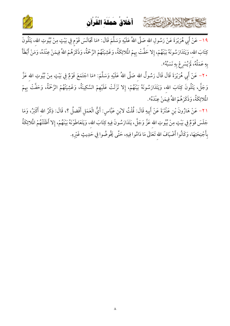

أخلاق حملة القرآن ِ ِ ْ ُ ْ َ َ َ ُ ْ َ



1۹− عَنْ أَبِي هُرَيْرَةَ عَنْ رَسُولِ الله صَلَّى اللهُ عَلَيْهِ وَ أَبِي هُرَيْرَةَ عَنْ رَسُولِ اللهِ صَلَّى اللهُ عَلَيْهِ وَسَلَّمَ قَالَ: «مَا تَجَالَسَ قَوْمٍ فِي بَيْتٍ مِنْ بُيُوتِ اللهِ، يَتْلُونَ كِتَابَ اللهِ، وَيَتَدَارَسُونَهُ بَيْنَهُمْ، إِلا حَفَّتْ بِهِمْ الْمُلائِكَةُ، وَغَشِيَتْهُمْ الرَّحْمَةُ، وَذَكَرَهُمْ اللهُ فِيمَنْ عِنْدَهُ، وَمَنْ أَبْطَأَ J  $\mathbf{L}$ بِهِ عَمَلُهُ، لَمْ يُسْرِعْ بِهِ نَسَبُهُ".

٢٠ – عَنْ أَبِي هُرَيْرَةَ قَالَ قَالَ رَسُولُ اللهِ صَلَّى اللهُ عَلَيْهِ وَسَلَّمَ: «مَا اجْتَمَعَ قَوْمٌ فِي بَيْتٍ مِنْ بُيُوتِ اللهِ عَزَّ وَجَلَّ، يَتْلُونَ كِتَابَ اللهِ، وَيَتَدَارَسُونَهُ بَيْنَهُمْ، إِلا نَزَلَتْ عَلَيْهِمْ السَّكِينَةُ مِمْ السَّكِينَةُ، وَغَشِيَتْهُمْ الرَّحْمَةُ، وَحَفَّتْ بِهِمْ  $\mathbf{L}$ المُلائِكَةُ، وَذَكَرَهُمْ اللهُ فِيمَنْ عِنْدَهُ».

٢١ – عَنْ هَارُونَ بْنِ عَنْتَرَةَ عَنْ أَبِيهِ قَالَ: قُلْتُ لابْنِ عَبَّاسٍ: أَيُّ الْعَمَلِ أَفْضلُ ؟، قَالَ: ذِكْرُ اللهِ أَكْبَرُ، وَمَا  $\overline{\phantom{a}}$ جَلَسَ قَوْمٌ فِي بَيْتٍ مِنْ بُيُوتِ اللهِ عَزَّ وَجَلَّ، يَتَدَارَسُونَ فِيهِ كِتَابَ اللهِ، وَيَتَعَاطَوْنَهُ بَيْنَهُمْ، إِلا أَظَلَتْهُمْ الْملائِكَةُ بِأَجْنِحَتِهَا، وَكَانُوا أَضْيَافَ اللهِ تَعَالَى مَا دَامُوا فِيهِ، حَتَّى يَخُوضُوا فِي حَدِيثٍ غَيْرِهِ.  $\frac{1}{2}$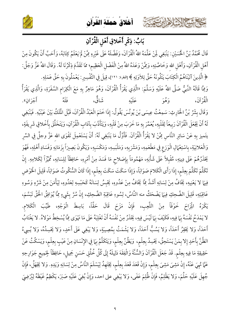





### بَابُ: ذِكْرِ أَخْلاقِ أَهْلِ الْقُرْآنِ

قَالَ مُحَمَّدُ بْنُ الْحُسَيْنِ: يَنْبَغِي لِمَنْ عَلَّمَهُ اللهُ الْقُرْآنَ، وَفَضَّلَهُ عَلَى غَيْرِهِ مِمَّنْ لَمْ يَعْلَمُ كِتَابَهُ، وَأَحَبَّ أَنْ يَكُونَ مِنْ أَهْلِ الْقُرْآنِ، وَأَهْلِ الله وَخَاصَّتِهِ، وَمِمَّنْ وَعَدَهُ اللهُ مِنْ الْفَضْلِ الْعَظِيمِ؛ ممَا تَقَدَّمَ ذِكْرُنَا لَهُ. وَقَالَ اللهُ عَزَّ وَجَلَّ: ﴿ الَّذِينَ آتَيْنَاهُمُ الْكِتَابَ يَتْلُونَهُ حَقَّ تِلاَوَتِهِ ﴾ [البقرة: ١٢١]، قِيلَ فِي التَّفْسِيرِ : يَعْمَلُونَ بِهِ حَقَّ عَمَلِهِ . وَمِمَّا قَالَهُ النَّبيُّ صَلَّى اللهُ عَلَيْهِ وَسَلَّمَ: «الَّذِي يَقْرَأُ الْقُرْآنَ، وَهُوَ مَاهِزٌ بِهِ مَعَ الْكِرَام السَّفَرَةِ، وَالَّذِي يَقْرَأُ ي<br>شاق، الْقُرْآنَ، أَجْرَانِ». فآهُ عَلَىْه ر ور<br>و هو وَقَالَ بِشْرُ بْنُ الْحَارِثِ: سَمِعْتُ عِيسَى بْنَ يُونْسَ يَقُولُ: إِذَا خَتَمَ الْعَبْدُ الْقُرْآنَ، قَبَّلَ الْمَلَكُ بَيْنَ عَيْنَيْهِ. فَيَنْبَغِي لَهُ أَنْ يَجْعَلَ الْقُرْآنَ رَبِيعَاً لِقَلْبِهِ، يُعَمِّرَ بِهِ مَا خَرَبَ مِنْ قَلْبِهِ، وَيَتَأَدَّبَ بِآدَابِ الْقُرْآنِ، وَيَتَخَلَّقَ بِأَخْلاقٍ شَرِيفَةٍ، يتَميز بِهِ عَنْ سَائِرِ النَّاسِ مِمَّنْ لا يَقْرَأُ الْقُرْآنَ. فَأَوَّلُ مَا يَنْبَغِي لَهُ: أَنْ يَسْتَعْمِلَ تَقْوَى الله عَزَّ وجلَّ فِي السِّرِ وَالْعَلانِيَةِ، بِاسْتِعْمَالِ الْوَرَعِ فِي مَطْعَمِهِ، وَمَشْرَبِهِ، وَمَلْبَسِهِ، وَمَكْسَبِهِ، وَيَكُونَ بَصِيرَاً بِزَمَانِهِ وَفَسَادِ أَهْلِهِ، فَهُوَ يَحْذَرُهُمْ عَلَى دِينِهِ، مُقْبِلاً عَلَى شَأْنِهِ، مَهْمُومَاً بِإِصَلاحٍ مَا فَسَدَ مِنْ أَمْرِهِ، حَافِظَاً لِلِسَانِهِ، مُمَّيّزاً لِكَلامِهِ. إِنْ تَكَلَّمَ تَكَلَّمَ بِعِلْم، إِذَا رَأَى الْكَلامَ صَوَابَاً، وَإِذَا سَكَتَ سَكَتَ بِعِلْم، إِذَا كَانَ السُّكُوتُ صَوَابَاً، قَلِيلَ الْخَوْضِ فِيهَا لا يَعْنِيهِ، يَخَافُ مِنْ لِسَانِهِ أَشَدَّ مِمَّا يَخَافُ مِنْ عَدُوهِ، يَحْبِسُ لِسَانَهُ كَحَبْسِهِ لِعَدُوهِ، لِيَأْمَنَ مِنْ شَرِّهِ وَسُوءِ عَاقِبَتِهِ، قَلِيلَ الضَّحِكِ فِيهَا يَضْحَكُ منه النَّاسُ، لِسُوءِ عَاقِبَةِ الضَّحِكِ، إِنْ سُرَّ بِشَيءٍ مِمَّا يُوَافِقُ الْحَقَّ تَبَسَّمَ، يَكْرَهُ الْمِزَاحَ خَوْفَاً مِنْ اللَّعِبِ، فَإِنْ مَزَحَ قَالَ حَقَّاً، بَاسِطَ الْوَجْهِ، طَيِّبَ الْكَلامِ. لا يَمْدَحُ نَفْسَهُ بِهَا فِيهِ، فَكَيْفَ بِهَا لَيْسَ فِيهِ، يَخْذَرُ مِنْ نَفْسَهُ أَنْ تَغْلِبَهُ عَلَى مَا تَهْوَى مِمَّا يُسْخِطُ مَوْلاهُ. لا يَغْتَابُ أَحَدَاً، وَلا يَحْقِرُ أَحَدَاً، وَلا يَسُبُّ أَحَدَاً، وَلا يَشْمَتُ بِمُصِيبَةٍ، وَلا يَبْغِي عَلَى أَحَدٍ، وَلا يَحْسِدُهُ، وَلا يُسِيءُ الظَّنَّ بِأَحَدٍ إِلا بِمَنْ يَسْتَحِقُ، يَحْسِدُ بِعِلْم، وَيَظُنُ بِعِلْم، وَيَتَكَلَّمُ بِهَا فِي الإِنْسَانِ مِنْ عَيْبٍ بِعِلْم، وَيَسْكُتُ عَنْ حَقِيقِةِ مَا فِيهِ بِعِلْمٍ. قَدْ جَعَلَ الْقُرْآنَ وَالشُّنَّةَ وَالْفِقَهَ دَلِيلَهُ إِلَى كُلِّ خُلُقٍ حَسَنٍ جَمِيلٍ، حَافِظَاً لِجَمِيعِ جَوَارِحِهِ عَمَّا ثُهِيَ عَنْهُ، إِنْ مَشِيَ مَشِيَ بِعِلْمٍ، وَإِنْ قَعَدَ قَعَدَ بِعِلْمٍ، يَجْتَهِدُ لِيَسْلَمَ النَّاسُ مِنْ لِسَانِهِ وَيَدِهِ. وَلا يَجْهَلُ، فَإِنْ جُهِلَ عَلَيْهِ حَلْمَ، وَلا يَظْلِمُ، فَإِنْ ظُلِمَ عَفَى، وَلا يَبْغِي على احد، وَإِنْ بُغِيَ عَلَيْهِ صَبَرَ، يَكْظِمُ غَيْظَهُ لِيُرْضِيَ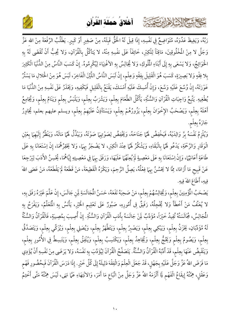### أخلاق حملَة القُران

كلامتية الشاهايرتفتحة



رَبَّهُ، وَيَغِيظَ عَدُوَهُ، مُتَوَاضِعٌ فِي نَفْسِهِ، إِذَا قِيلَ لَهُ الْحَقُّ قَبِلَهُ، مِنْ صَغِيرٍ أَوْ كَبِيرٍ. يَطْلُبُ الرِّفْعَةَ مِنْ الله عَزَّ وَجَلَّ لا مِنْ المُخْلُوقِينَ، مَاقِتَاً لِلْكِبْرِ، خَائِفَاً عَلَى نفْسِهِ مِنْهُ، لا يَتأكَّلُ بِالْقُرْآنِ، وَلا يُحِبُّ أَنْ تُقْضَى لَهُ بِهِ الْحَوَائِجُ، وَلا يَسْعَى بِهِ إِلَى أَبْنَاءِ الْمُلُوكِ، وَلا يُجَالِسُ بِهِ الأغْنِيَاءَ لِيُكْرِمُوهُ. إِنْ كَسَبَ النَّاسُ مِنْ الدُّنْيَا الْكَثِيرَ بِلا فِقْهِ وَلا بَصِيرَةٍ، كَسَبَ هُوَ الْقَلِيلَ بِفِقْهِ وَعِلْمٍ، إِنْ لَبَسَ النَّاسُ اللَّيِّنَ الْفَاخِرَ، لَبَسَ هُوَ مِنْ الْحَلالِ مَا يَسْتُرُ عَوْرَتَهُ، إِنْ وُسِّعَ عَلَيْهِ وَسَّعَ، وَإِنْ أُمْسِكَ عَلَيْهِ أَمْسَكَ، يَقْنَعُ بِالْقَلِيلِ فَيَكْفِيهِ، وَيَخْذَرُ عَلَى نَفْسِهِ مِنْ الدُّنْيَا مَا يُطْغِيهِ. يَتَّبِعُ وَاجِبَاتِ الْقُرْآنِ وَالسُّنَّةِ، يَأْكُلُ الطَّعَامَ بِعِلْمٍ، وَيَشْرَبُ بِعِلْمٍ، وَيَلْبَسُ بِعِلْمٍ وَيَنَامُ بِعِلْمٍ، وَيُجَامِعُ أَهْلَهُ بِعِلْمٍ، وَيَصْحَبُ الإِخْوَانَ بِعِلْمٍ، يَزُورُهُمْ بِعِلْمٍ، وَيَسْتَأْذِنُ عَلَيْهِمْ بِعِلْمٍ، ويسلم عليهم بعلم، يُجَاوِرُ جَارَهُ بِعِلْمٍ.

وَيُلْزِمُ نَفْسَهُ بِرَّ وَالِدَيْهُ، فَيَخْفِضُ لَهَمَا جَنَاحَهُ، وَيَخْفِضُ لِصَوْتِهِمَا صَوْتَهُ، وَيَبْذُلُ لَهَمَا مَالَهُ، وَيَنْظُرُ إِلَيْهِمَا بِعَيْنِ الْوَقَارِ وَالرَّحْمَةِ، يَدْعُو لَهَمَا بِالْبَقَاءِ، وَيَشْكُرُ لَهُمَا عِنْدَ الْكِبَرِ، لا يَضْجَرُ بِهَا، وَلا يَحْقِرُهُمَا، إِنْ اِسْتَعَانَا بِهِ عَلَى طَاعَةٍ أَعَانَهُمَا، وَإِنْ اِسْتَعَانَا بِهِ عَلَى مَعْصِيةٍ لَمْ يُعِنْهُمَا عَلَيْهَا، وَرَفَقَ بِهَا فِي مَعْصِيتِهِ إِيَّاهُمَا، يُحْسِنُ الأَدَبَ لِيَرْجِعَا عَنْ قَبِيحٍ مَا أَرَادَا، مِمَّا لا يَحْسُنُ بِهِمَا فِعْلُهُ، يَصِلُ الرَّحِمَ، وَيَكْرَهُ الْقَطِيعَةَ، مَنْ قَطَعَهُ لَمْ يَقْطَعْهُ، مَنْ عَصَى اللهَ فِيهِ، أَطَاعَ اللهَ فِيهِ.

يَصْحَبُ الْمُؤْمِنِينَ بِعِلْمٍ، وَيُجَالِسُهُمْ بِعِلْمٍ، مَنْ صَحِبَهُ نَفَعَهُ، حَسَنُ الْمُجَالَسَةِ لَمِن جَالَسَ، إِنْ عَلَّمَ غَيْرَهُ رَفَقَ بِهِ، لا يُعَنِّفُ مَنْ أَخْطَأَ وَلا يُخْجِلُهُ، رَفَيْقٌ فِى أُمُورِهِ، صَبُورٌ عَلَى تَعْلِيم الخَيْرِ، يَأْنَسُ بِهِ المُتَعَلِّمُ، وَيَفْرَحُ بِهِ الْمُجَالِسُ، مُجَالَسَتُهُ تُفِيدُ خَيْرَاً، مُؤَدِّبٌ لَمِنْ جَالَسَهُ بِأَدَبِ الْقُرْآنِ وَالسُّنَّةِ. إِنْ أُصِيبَ بِمُصِيبَةٍ، فَالْقُرْآنُ وَالسُّنَّةُ لَهُ مُؤَدِّبَانِ، يَخْزَنُ بِعِلْمٍ، وَيَبْكِي بِعِلْمٍ، وَيَصْبِرُ بِعِلْمٍ، وَيَتَطَّهَرُ بِعِلْمٍ، وَيُصَلِي بِعِلْمٍ، وَيُزَكِّي بِعِلْمٍ، وَيَتَصَدَّقُ بِعِلْمٍ، وَيَصُومُ بِعِلْمٍ وَيَحُجُّ بِعِلْمٍ، وَيُجَاهِدُ بِعِلْمٍ، وَيَكْتَسِبُ بِعِلْمٍ، وَيُنْفِقُ بِعِلْمٍ، وَيَتَبسِطُ فِي الأُمُورِ بِعِلْمٍ، وَيَنْقَبِضُ عَنْهَا بِعِلْمٍ، قَدْ أَدَّبَهُ الْقُرْآنُ وَالسُّنَّةُ. يَتَصَفَّحُ الْقُرْآنَ لِيُؤَدِّبَ بِهِ نَفْسَهُ، وَلا يَرَضَى مِنْ نَفْسِهِ أَنْ يُؤَدِي مَا فَرَضَ اللهُ عَزَّ وَجَلَّ عَلَيْهِ بِجَهْلٍ، قَدْ جَعَلَ الْعِلْمَ وَالْفِقْهَ دَلِيلَهُ إِلَى كُلِّ خَيْرٍ. إِذَا دَرَسَ الْقُرْآنَ فَبِحُضُورِ فَهْمِ وَعَقْلِ، هِمَّتُهُ إِيقَاعُ الْفَهْمِ لَمِا أَلْزَمَهُ اللهُ عَزَّ وَجَلَّ مِنْ اتِّبَاعِ مَا أَمَرَ، وَالانْتِهَاءِ عَمَّا نَهَى، لَيْسَ هِمَّتُهُ مَتَّى أَخْتِمُ

 $\mathcal{N}$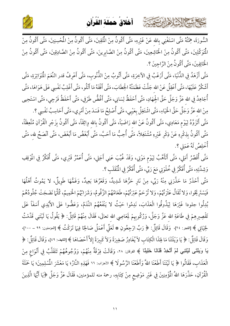

كالحشيخ الاشا هابرت متعت



السُّورَة، هِمَّتُهُ مَتَّى اسْتَغْنِي بِاللهِ عَنْ غَيْرِهِ، مَتَّى أَكُونُ مِنْ الْمُتَقِينَ، مَتَّى أَكُونُ مِنْ الْمُحْسِنِينَ، مَتَّى أَكُونُ مِنْ  $\ddot{\phantom{0}}$ Ĺ الْمَتَوَكِّلِينَ، مَتَّى أَكُونُ مِنْ الْخَاشِعِينَ، مَتَّى أَكُونُ مِنْ الصَّابِرِينَ، مَتَّى أَكُونُ مِنْ الصَّادِقِينَ، مَتَّى أَكُونُ مِنْ الْخَائِفِينَ، مَتَّى أَكُونُ مِنْ الرَّاجِينَ ؟ تَّى أَكُونُ مِنْ الرَّاجِينَ ؟.

مَتَّى أَزْهَدُ فِي الدُّنْيَا، مَتَّى أَرْغَبُ فِي الآخِرَةِ، مَتَّى أَتُوبُ مِنْ الذُّنُوبِ، مَتَّى أَعْرِفُ قدر النَّعَمَ الْمَتَوَاتِرَةِ، مَتَّى í أَشْكُرُ عَلَيْهَا، مَتَّى أَعْقِلُ عَنْ اللهِ جَلَّتْ عَظَمَتُهُ الْخِطَابَ، مَتَّى أَفْقَهُ مَا أَتْلُو، مَتَّى أَغْلِبُ نَفْسِي عَلَى هَوَاهَا، مَتَّى ś أُجَاهِدُ فِي اللهِ عَزَّ وَجَلَّ حَقَّ الْجِهَادِ، مَتَّى أَحْفَظُ لِسَانِي، مَتَّى أَغُضُّ طَرْفِي، مَتَّى أَحْفَظُ فَرْجِي **>** مَتَّى أَحْفَظُ فَرْجِي، مَتَّى اسْتَحِيى **>** مِنْ اللهِ عَزَّ وَجَلَّ حَقَّ الْحَيَاءِ، مَتَّى اشْتَغِلُ بِعَيْبِي، مَتَّى أُصْلِحُ مَا فَسَدَ مِنْ أَمْرِي، مَتَّى أَحَاسِبُ نَفْسِي ؟.  $\ddot{\phantom{0}}$ مَتَّى أَتَزَوَّدُ لِيَوْمِ مَعَادِي، مَتَّى أَكُونُ عَنْ اللهِ رَاضَيَاً، مَتَّى أَكُونُ بِاللهِ وِاثِقَاً، مَتَّى أَكُونُ بِزَجْرِ الْقُرْآنِ مُتَّعِظَاً، J مَتَّى أَكُونُ بِذِكْرِهِ عَنْ ذِكْرِ غَيْرِهِ مُشْتَغِلاً، مَتَّى أُحِبُّ مَا أَحَبَّ، مَتَّى أَبْغَضُ مَا أَبْغَضَ، مَتَّى أنْصَحُ لله، مَتَّى أُخْلِصُ لَهُ عَمَلِي ؟.

مَتَّى أُقَصِّرُ أَمَلِي، مَتَّى أَتَأَهَّبُ لِيَوْمِ مَوْتِي تَّى أَتَأَهَّبُ لِيَوْمٍ مَوْتِي، وَقَدْ غُيِّبَ عَنِي أَجَلِي، مَتَّى أُعَمِّرُ قَبْرِي، مَتَّى أُفَكِّرُ فِي المُوْقِفِ j وَشِدِّتِهِ، مَتَّى أَفَكَّرُ فِي خُلُوَتِي مَعَ رَبِّي، مَتَّى أَفَكَّرُ فِي الْمُنْقَلَبِ ؟.

مَتَّى أَحْذَرُ مَا حَذَّرَنِي مِنْهُ رَبِّي، مِنْ نَارٍ حَرُّهَا شَدِيدٌ، وَقَعْرُهَا بَعِيدٌ، وَغَمُّهَا طَوِيلٌ، لا يَمُوتُ أَهْلُهَا  $\ddot{\phantom{0}}$ فَيَسْتَرِيْحُوا، وَلا تُقَالُ عَثْرَتْهُمْ، وَلا تُرْحَمُ عَبْرَتْهُمْ، طَعَامُهُمْ الزَّقُومُ، وَشَرَابُهُمْ الْحَمِيمُ، كُلَّهَا نَضَجَتْ جُلُودُهُمْ  $\ddot{\phantom{0}}$ J بُدِلُوا جلودا غَيْرَهَا لِيَذُوقُوا الْعَذَابَ، نَدِمُوا حَيْثُ لا يَنْفَعُهُمْ النَّدَمُ، وَعَضُّوا عَلَى الأَيْدِي أَسَفَأَ عَلَى <u>د</u> تَقْصِيرِهِمْ فِي طَاعَةِ اللهِ عَزَّ وَجَلَّ، وَرُكُوبِهِمْ لِمَعَاصِي اللهِ تعالَى، فَقَالَ مِنْهُمْ قَائِلٌ: ﴿ يَقُولُ يَا لَيْتَنِي قَدَّمْتُ  $\mathbf{1}$  $\overline{a}$ يَقول يَا لَيْ لجَيَاتِي لِحَيَاتِي ﴾ [الفجر: ٢٤]، وَقَالَ قَائِلٌ: ﴿ رَبِّ ارْجِعُونِ َابٌ ارْجِعُونِ ۞ لَعَلِّي أَعْمَلُ صَالحِمَا فِيهَا تَرَكْتُ ﴾ [المؤمنون: ٩٩ – ١٠٠]، ś وَقَالَ قَائِلٌ: ﴿ يَا وَيْلَتَنَا مَا لِهَذَا الْكِتَابِ لاَ يُغَادِرُ صَغِيرَةً وَلاَ كَبِيرَةً إِلاَّ أَحْصَاهَا ﴾ [الكهف: ٤٩]، وَقَالَ قَائِلٌ: ﴿ يَا وَيلْتَى لَيْتَنِي لَمْ أَتَّخِذْ فُلَانًا خَلِيلًا ﴾ الفرقان: ٢٨، وَقَالَتْ فِرْقَةٌ مِنْهُمْ، وَوُجُوهُهُمْ تَتَقَلَّبُ فِي أَنْوَاعٍ مِنْ  $\ddot{\phantom{0}}$ الْعَذَابِ، فَقَالُوا ﴿ يَا لَيْتَنَا أَطَعْنَا اللَّهَ وَأَطَعْنَا الرَّسُولَا ﴾ الأحزاب: ٦٦ فَهَذِهِ النَّارُ؛ يَا مَعْشَرَ الْمُسْلِمِينَ بَا مَعْشَرَ المُسْلِمِينَ؛ يَا حَمَلَة J الْقُرْآنِ، حَذَّرَهَا اللهُ الْمُؤْمِنِينَ فِي غَيْرِ مَوْضِعٍ مِنْ كِتَابِهِ رَهَا اللهُ الْمُؤْمِنِينَ فِي غَيْرِ مَوْضِعٍ مِنْ كِتَابِهِ، رحمة منه للمؤمنين، فَقَالَ عَزَّ وَجَلَّ ﴿يَا أَيُّهَا الَّذِينَ  $\overline{\phantom{a}}$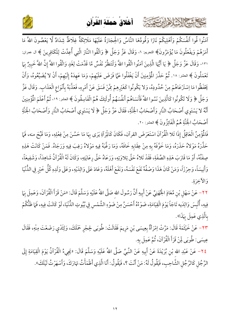

كالحشي الشاهاير تتمتع



آمَنُوا قُوا أَنفُسَكُمْ وَأَهْلِيكُمْ نَارًا وَقُودُهَا النَّاسُ وَالْحِجَارَةُ عَلَيْهَا مَلَائِكَةٌ غِلَاظٌ شِدَادٌ لَّا يَعْصُونَ اللهَّ مَا أَمَرَهُمْ وَيفْعَلُونَ مَا يُؤْمَرُونَ﴾ النحريم: ٦، وَقَالَ عَزَّ وَجَلَّ ﴿ وَاتَّقُوا النَّارَ الَّتِي أُعِدَّتْ لِلْكَافِرِينَ ﴾ ال عمران: ١٣١، وَقَالَ عَزَّ وَجَلَّ ﴿ يَا أَيُّهَا الَّذِينَ آمَنُوا اتَّقُوا اللهَّ وَلْتَنظُرْ نَفْسٌ مَّا قَدَّمَتْ لِغَدٍ وَاتَّقُوا اللهَّ إِنَّ اللهَّ خَبِيرٌ بِمَا تَعْمَلُونَ ﴾ الحشر: ١٨. ثُمَّ حَذَّرَ الْمُؤْمِنِينَ أَنْ يَغْفَلُوا عَمَّا فَرَضَ عَلَيْهِمْ، وَمَا عَهِدَهُ إِلَيْهِمْ، أَنْ لا يُضَيِّعُوهُ، وَأَنْ يَحْفَظُوا مَا اِسْتَرْعَاهُمْ مِنْ حُدُودِهُ، وَلا يَكُونُوا كَغَيْرِهِمْ مِمَّنْ فَسَقَ عَنْ أَمْرِهِ، فَعَذَّبَهُ بِأَنْوَاع الْعَذَابِ. وَقَالَ عَزَّ وَجَلَّ ﴿ وَلَا تَكُونُوا كَالَّذِينَ نَسُوا اللَّهَ فَأَنسَاهُمْ أَنفُسَهُمْ أُولَئِكَ هُمُ الْفَاسِقُونَ ﴾ الحشر: ١٩، ثُمَّ أَعْلَمَ المُؤْمِنِينَ أَنَّهُ لا يَسْتَوِي أَصْحَابُ النَّارِ وَأَصْحَابُ الْجَنَّةِ، فَقَالَ عَزَّ وَجَلَّ ﴿ لَا يَسْتَوِي أَصْحَابُ النَّارِ وَأَصْحَابُ الْجَنَّةِ أَصْحَابُ الْجَنَّةِ هُمُ الْفَائِزُونَ ﴾ الحشر: ٢٠.

فَالْمُؤْمِنُ الْعَاقِلُ إِذَا تَلا الْقُرْآنَ اسْتَعَرَضَ القرآن، فَكَانَ كَالْمِرَآةِ يَرَى بِهَا مَا حَسُنَ مِنْ فِعْلِهِ، وَمَا قَبُحَ منه، فَمَا حَذَّرَهُ مَوْلاهُ حَذَرَهُ، وَمَا خَوَّفَهُ بِهِ مِنْ عِقَابِهِ خَافَهُ، وَمَا رَغَّبَهُ فِيهِ مَوْلاهُ رَغِبَ فِيهِ وَرَجَاهُ. فَمَنْ كَانَتْ هَذِهِ صِفَتُهُ، أَوْ مَا قَارَبَ هَذِهِ الصِّفَةِ، فَقَدْ تَلاهُ حَقَّ تِلاوَتِهِ، وَرَعَاهُ حَقَّ رِعَايَتِهِ، وَكَانَ لَهُ الْقُرْآنُ شَاهِدَاً، وَشَفِيعَاً، وَأَنِيسَاً، وَحِرْزَاً، وَمَنْ كَانَ هَذَا وَصْفُهُ نَفَعَ نَفْسَهُ، وَنَفَعَ أَهْلَهُ، وَعَادَ عَلَى وَالِدَيْهِ، وَعَلَى وَلَدِهِ كُلُّ خَيْرِ فِي الدُّنْيَا وَالآخِرَةِ.

٢٢– عَنْ سَهْلٍ بْنِ مُعَاذٍ الْجُهَنِيِّ عَنْ أَبِيهِ أَنَّ رَسُولَ الله صَلَّى اللهُ عَلَيْهِ وَسَلَّمَ قَالَ: «مَنْ قَرَأَ الْقُرْآنَ، وَعَمِلَ بِمَا فِيهِ، أُلْبِسَ وَالِدَيه تَاجَاً يَوْمَ الْقِيَامَةِ، ضَوْءُهُ أَحْسَنُ مِنْ ضَوْءِ الشَّمْسِ فِي بُيُوتِ الدُّنْيَا، لَوْ كَانَتْ فِيهِ، فَمَا ظَنُّكُمْ بِالَّذِي عَمِلَ بِهَذَا».

٢٣- عَنْ خَيْثَمَةَ قَالَ: مَرَّتْ اِمْرَأَةٌ بِعِيسَى بْنِ مَرِيمَ فَقَالَتْ: طُوبَى لِحِجْرٍ حَمَلَكَ، وَلِثَدْي رَضَعْتَ مِنْهِ، فَقَالَ عِيسَى: طُوبَى لَِنْ قَرَأَ الْقُرْآنَ، ثُمَّ عَمِلَ بِهِ.

٢٤– عَنْ عَبْدِ الله بْنِ بُرَيْدَةَ عَنْ أَبِيهِ عَنْ النَّبِيِّ صَلَّى اللهُ عَلَيْهِ وَسَلَّمَ قَالَ: «يَجِىءُ الْقُرْآنُ يَوْمَ الْقِيَامَةِ إِلَى الرَّجُلِ كَالرَّجُلِ الشَّاحِبِ، فَيَقُولُ لَهُ: مَنْ أَنْتَ ؟، فَيَقُولُ: أَنَا الَّذِي أَظْمَأْتُ نَهَارَكَ، وَأَسْهَرْتُ لَيْلَكَ».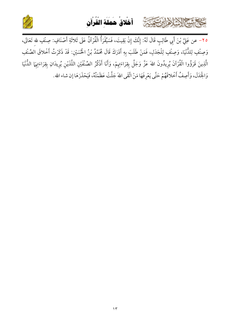



٢٥ - عن عَلِيَّ بْنَ أَبِي طَالِبٍ قَالَ لَهُ: إِنَّكَ إِنْ بَقِيتَ إِنَّكَ إِنْ بَقِيتَ، فَسَيُقْرَأُ الْقُرْآنُ عَلَى ثَلاثَةِ أَصْنَافٍ: صِنْفٍ للهِ تَعَالَى،  $\ddot{\phantom{0}}$ وَصِنْفٍ لِلدُّنْيَا، وَصِنْفٍ لِلْجَدَلِ، فَمَنْ طَلَبَ بِهِ أَدْرَكَ قَالَ مُحَمَّدُ بْنُ الْحُسَيْنِ: قَدْ ذَكَرْتُ أَخْلاقَ الصِّنْفِ  $\ddot{\phantom{0}}$ J  $\ddot{\phantom{0}}$ الَّذِينَ قَرَؤُوا الْقُرْآنَ يُرِيدُونَ اللهَ عَزَّ وَجَلَّ بِقِرَاءَتِهِمْ، وَأَنَا أَذْكُرُ الصِّنْفَيْنِ اللَّذَيْنِ يُرِيدَانِ بِقِرَاءَتِهَا الدُّنْيَا  $\ddot{\phantom{0}}$ وَالْجَدَلَ، وَأَصِفُ أَخْلاقَهُمْ حَتَّى يَعْرِفَهَا مَنْ اتَّقَى اللهَ جَلَّتْ عَظَمَتُهُ، فَيَحْذَرَهَا إن شاء الله.  $\ddot{\phantom{0}}$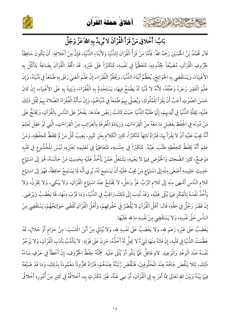



بَابُ: أَخْلاقِ مَنْ قَرَأَ الْقُرْآنَ لا يُرِيدُ بِهِ اللهَ عَزَّ وَجَلَّ

Kelki Sir

قَالَ مُحَمَّدُ بْنُ الْحُسَيْنِ رَحِمَهُ اللهُ: فَأَمَّا مَنْ قَرَأُ الْقُرْآنَ لِلدُّنْيَا وَلأَبْنَاءِ الدُّنْيَا، فَإِنَّ مِنْ أَخْلاقِهِ: أَنْ يَكُونَ حَافِظَاً لْحِرُوفِ الْقُرْآنِ، مُضَيِّعَاً لِحُدُودِهِ، مُتَعَظِّمَاً فِي نَفْسِهِ، مُتكَبِّرَاً عَلَى غَيْرِهِ. قَدْ اتَّخَذَ الْقُرْآنَ بِضَاعَةً يَتَأَكَّلُ بِهِ الأَغْنِيَاءَ، وَيَسْتَقْضِى بِهِ الْحَوَائِجَ، يُعَظِّمُ أَبْنَاءَ الدُّنْيَا، وَيُحَقِّرُ الْفُقَرَاءَ، إِنْ عَلَّمَ الْغَنِيَ رَفَقَ بِهِ طَمْعَاً فِي دُنْيَاهُ، وَإِنْ عَلَّمَ الْفَقِيرَ زَجَرَهُ وَعَنَّفَهُ، لأَنَّهُ لا دُنْيَا لَهُ يَطْمَعُ فِيهَا، يَسْتَخْدِمُ بِهِ الْفُقَرَاءَ، وَيَتِيهُ بِهِ عَلَى الأَغْنِيَاءِ، إِنْ كَانَ حَسَنَ الصَّوْتِ أَحَبَّ أَنْ يَقْرَأَ لِلْمُلُوكِ، وَيُصَلِّي بِهِمْ طَمْعَاً فِي دُنْيَاهُمْ، وَإِنْ سَأَلَهُ الْفُقَرَاءُ الصَّلاةَ بِهِمْ ثَقُلَ ذَلِكَ عَلَيْهِ، لِقِلَّةِ الدُّنْيَا فِي أَيْدِيهِمْ، إِنَّهَا طَلَبُهُ الدُّنْيَا حَيْثَ كَانَتْ رَبَضَ عِنْدَهَا. يَفْخَرُ عَلَى النَّاسِ بِالْقُرْآنِ، وَيَخْتَجُّ عَلَى مَنْ دُونَهَ فِي الْحِفْظِ بِفَضْلٍ مَا مَعَهُ مِنْ الْقِرَاءَاتِ، وَزِيَادَةِ الْمُعْرِفَةِ بِالْغَرَائِبِ مِنْ الْقِرَاءَاتِ، الَّتِي لَوْ عَقِلَ لَعَلِمَ أَنَّهُ يَجِبُ عَلَيْهِ أَنْ لا يَقْرَأَ بِهَا، فَتَرَاهُ تَائِهَاً مُتكَبِّرَاً، كَثِيرَ الْكَلام بِغَيْرِ تَمْينِ، يَعِيبُ كُلَّ مَنْ لَمْ يَحْفَظُ كَحِفْظِهِ، وَمَنْ عَلِمَ أَنَّهُ يَحْفَظُ كَحِفْظِهِ طَلَبَ عَيْبَهُ. مُتكَبِّرَاً فِي جِلْسَتِهِ، مُتَعَاظِمَاً فِي تَعْلِيمِهِ لِغَيْرِهِ، لَيْسَ لِلْخُشُوعِ فِي قَلْبِهِ مَوْضِعٌ، كَثِيرَ الضَّحِكِ وَالْخَوْضِ فِيهَا لا يَعْنِيهِ، يَشْتَغِلُ عَمَّنْ يَأْخُذُ عَلَيْهِ بِحَدِيثِ مَنْ جَالَسَهُ، هُوَ إِلَى اسْتِهَاع حَلِيثِ جَلِيسِهِ أَصْغَى مِنْهِ إِلَى اسْتِهَاعِ مَنْ يَجِبُ عَلَيْهِ أَنْ يَسْتَمِعَ لَهُ، يُرِي أَنَّه لِمَا يَسْتَمِعُ حَافِظَاً، فَهُوَ إِلَى استماع كَلامِ النَّاسِ أَشْهَى مِنْهِ إِلَى كَلامِ الرَّبِّ عَزَّ وَجَلَّ، لا يَخْشَعُ عِنْدَ اسْتِهَاعِ الْقُرْآنِ، وَلا يَبْكِي، وَلا يَخْزَنُ، وَلا يَأْخُذُ نَفْسَهُ بِالْفِكْرِ فِيهَا يُتْلَى عَلَيْهِ، وَقَدْ نُدِبَ إِلَى ذَلِكَ،رَاغِبٌ فِي الدُّنْيَا، وَمَا قَرَّبَ مِنْهَا، لَهَا يَغْضَبُ وَيَرْضَى. إِنْ قَصَّرَ رَجُلٌ فِي حَقِّهِ، قَالَ: أَهْلُ الْقُرْآنِ لا يُقُصَّرُ فِي حُقُوقِهِمْ، وَأَهْلُ الْقُرْآنِ تُقْضَى حَوَائِجُهُمْ، يَسْتَقْضِي مِنْ الناَّسِ حَقَّ نَفْسِهِ، وَلا يَسْتَقْضِي مِنْ نَفْسِهِ ما لله عَلَيْهَا.

يَغْضَبُ عَلَى غَيْرِهِ زَعَمَ لله، وَلا يَغْضَبُ عَلَى نَفْسِهِ لله، وَلا يُبَالِي مِنْ أَيْنَ اكْتَسَبَ: مِنْ حَرَام أَوْ حَلالٍ، قَدْ عَظُمَتْ الدُّنْيَا فِي قَلْبِهِ، إِنْ فَاتَهُ مِنْهَا شَيْءٌ لا يَحِلُّ لَهُ أَخْذُهُ، حَزِنَ عَلَى فَوْتِهِ. لا يَتَأَدَّبُ بَأَدَبِ الْقُرْآنِ، وَلا يَزْجُرُ نَفْسَهُ عَنْد الْوَعْدِ وَالْوَعِيدِ. لاهٍ غَافِلٌ عَمَّا يَتْلُو أَوْ يُتْلَى عَلَيْهِ. هِمَّتُهُ حِفْظُ الْحُرُوفِ، إِنْ أَخْطَأَ فِي حَرْفٍ سَاءَهُ ذَلِكَ، لِئَلا يَنْقُصَ جَاهُهُ عِنْدَ الْمَخْلُوقِينَ، فَتَنْقُضَ رُتْبَتُهُ عِنْدَهُمْ، فَتَرَاهُ مَخْرُونَاً مَغْمُومَاً بِذَلِكَ، وَمَا قَدْ ضَيَّعَهُ فِيهَا بَيْنَهُ وَبَيْنَ الله تَعَالَى مِمَّا أَمَرَ بِهِ فِي الْقُرْآنِ، أَوْ نهي عَنْهُ، غَيْرَ مُكْتَرِثٍ بِهِ، أَخْلاقُهُ فِي كَثِيرِ مِنْ أُمُورِهِ أَخْلاقُ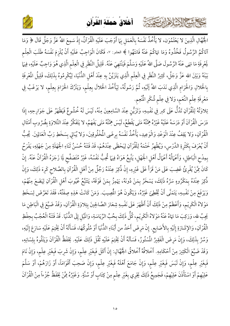#### أخلاقُ حَمِلَة الْقُراَن

كالحشيخ الشاها النصيبة



الْجُهَّالِ الَّذِينَ لا يَعْلَمُوَن، لا يَأْخُذُ نَفْسَهُ بِالْعَمَلِ بِهَا أَوْجَبَ عَلَيْهِ الْقُرْآنُ، إِذْ سَمِعَ اللهُ عَزَّ وَجَلَّ قَالَ ﴿ وَمَا آتَاكُمُ الرَّسُولُ فَخُذُوهُ وَمَا نَهَاكُمْ عَنْهُ فَانتَهُوا ﴾ الحشر: ٧، فَكَانَ الْوَاجِبُ عَلَيْهِ أَنْ يُلْزِمَ نَفْسَهُ طَلَبَ الْعِلْم لِمَعْرِفَةِ مَا نَهَى عَنْهُ الرَّسُولَ صَلَّى اللهُ عَلَيْهِ وَسَلَّمَ فَيَنْتَهِيَ عَنْهُ. قَلِيلُ النَّظَرِ فِي الْعِلْم الَّذِي هُوَ وَاجِبٌ عَلَيْهِ، فِيهَا بَيْنَهُ وَبَيْنَ الله عَزَّ وَجَلَّ، كَثِيرُ النَّظَرِ فِي الْعِلْمِ الَّذِي يَتَزَيَّنُ بِهِ عِنْدَ أَهْلِ الدُّنْيَا، لِيُكْرِمُوهُ بِذَلِكَ، قَلِيلُ المُعْرِفَةِ بِالْحَلالِ وَالْحَرَام الَّذِي نَدَبَ اللهُ إَلَيْهِ، ثُمَّ رَسُولُهُ، لِيَأْخُذَ الْحَلالَ بِعِلْمٍ، وَيَتْرُكَ الْحَرَامَ بِعِلْمٍ، لا يَرْغَبُ فِي مَعْرِفَةِ عِلْمِ النِّعَمِ، وَلا فِي عِلْمِ شُكْرِ الْمُنْعِمِ.

تِلاوَتُهُ لِلْقُرْآنِ تَدُلُّ عَلَى كبر فِي نَفْسِهِ، وَتَزَيُّنِ عِنْدَ السَّامِعِينَ مِنْهُ، لَيْسَ لَهُ خُشُوعٌ فَيَظْهَرُ عَلَى جَوَارِحِهِ، إِذَا دَرَسَ الْقُرْآنَ أَوْ دَرَسَهُ عَلَيْهُ غَيْرُهُ هِمَّتُهُ مَتَى يَقْطَعُ، لَيْسَ هِمَّتُهُ مَتَى يَفْهَمُ، لا يَتَفَكَّرُ عِنْدَ التِّلاوَةِ بِضُرُوبِ أَمْثَالِ الْقُرْآنِ، وَلا يَقِفُ عِنْدَ الْوَعْدِ وَالْوَعِيدِ، يَأْخُذُ نَفْسَهُ بِرِضَى الْمُخْلُوقِينَ، وَلا يُبَالي بِسَخَطِ رَبِّ الْعَالِمِينَ. يُحِبُّ أَنْ يُعْرَفَ بِكَثْرِةِ الدَّرْسِ، وَيُظْهِرُ خَتْمَهُ لِلْقُرْآنِ لِيَحْظَى عِنْدَهُمْ، قَدْ فَتَنَهُ حُسْنُ ثَنَاءِ الجُهَلَةِ مِنْ جَهْلِهِ، يَفْرَحُ بِمِدْحِ الْبَاطِلِ، وَأَعْهَالُهُ أَعْهَالُ أَهْلِ الْجَهْلِ، يَتَّبِعُ هَوَاهُ فِيهَا تُحِبُّ نَفْسُهُ، غَيْرُ مُتَصَفِّح لَمَا زَجَرَهُ الْقُرْآنُ عَنْهُ. إِنْ كَانَ مِمَّنْ يُقْرِئُ غَضِبَ عَلَى مَنْ قَرَأَ عَلَى غَيْرِهِ، إِنْ ذُكِرَ عِنْدَهُ رَجُلٌ مِنْ أَهْلِ الْقُرْآنِ بِالصَّلاح كَرِهَ ذَلِكَ، وَإِنْ ذُكِرَ عِنْدَهُ بِمَكْرُوهِ سَرَّهُ ذَلِكَ، يَسْخَرُ بِمَنْ دُونَهُ، يَهْمِزُ بِمَنْ فَوْقَهُ، يَتَبَّعُ عُيُوبَ أَهْلِ الْقُرْآنِ لِيَضَعَ مِنْهُمْ، وَيَرْفَعَ مِنْ نَفْسِهِ، يَتَمَنَّى أَنْ يُخْطِئَ غَيْرُهُ، وَيَكُونَ هُوَ الْمَصِيبَ. وَمَنْ كَانَتْ هَذِهِ صِفَتُهُ، فَقَدَ تَعَرَّضَ لِسَخَطِ مَوْلاهُ الْكَرِيْمِ، وَأَعْظَمُ مِنْ ذَلِكَ أَنْ أَظْهَرَ عَلَى نَفْسِهِ شِعَارَ الصَّالِحِينَ بِتِلاوَةِ الْقُرْآنِ، وَقَدْ ضَيَّعَ فِي الْبَاطِنِ مَا يَجِبُ لله، وَرَكِبَ مَا نَهَاهُ عَنْهُ مَوْلاهُ الْكَرِيْمِ، كُلُّ ذَلِكَ بِحُبِّ الرِّيَاسَةِ، وَالمَيْلِ إِلَى الذُّنْيَا. قَدْ فَتَنَهُ الْعُجْبُ بِحِفْظِ الْقُرْآنِ، وَالإِشَارَةِ إِلَيْهِ بِالأَصَابِعِ. إِنْ مَرِضَ أَحَدُ من أَبْنَاءِ الدُّنْيَا أَوْ مُلُوكُهَا، فَسَأَلَهُ أَنْ يَخْتِمَ عَلَيْهِ سَارَعَ إِلَيْهِ، وَمُتَّ بِذَلِكَ، وَإِنْ مَرِضَ الْفَقِيرُ المُسْتُورُ، فَسَأَلَهُ أَنْ يَخْتِمَ عَلَيْهِ ثَقُلَ ذَلِكَ عَلَيْهِ. يَحْفَظُ الْقُرْآنَ وَيَتْلُوهُ بِلِسْانِهِ، وَقَدْ ضَيَّعَ الْكَثِيرَ مِنْ أَحْكَامِهِ. أَخْلاقُهُ أَخْلاقُ الْجُهَّالِ: إِنْ أَكَلَ فَبِغَيْرِ عِلْم، وَإِنْ شَرِبَ فَبِغَيْرِ عِلْم، وَإِنْ نَامَ فَبِغَيْرِ عِلْمٍ، وَإِنْ لَبَسَ فَبِغَيْرِ عِلْمٍ، وَإِنْ جَامَعَ أَهْلَهُ فَبِغَيْرِ عِلْمٍ، وَإِنْ صَحِبَ أَقْوَامَاً، أَوْ زَارَهُمْ، أَوْ سَلَّمَ عَلِيْهِمْ أَوْ اسْتَأْذَنَ عَلِيْهِمْ، فَجَمِيعُ ذَلِكَ يَجْرِي بِغَيْرِ عِلْمٍ مِنْ كِتَابٍ أَوْ سُنَّةٍ. وَغَيْرُهُ مِمَّنْ يَحْفَظُ جُزْءاً مِنْ الْقُرْآنَ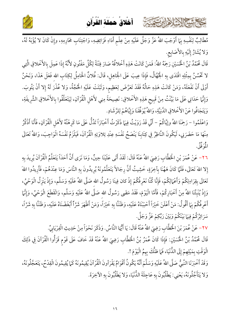

كالمشتم الشاهارية



مُطَالِبٌ لِنَفْسِهِ بِهَا أَوْجَبَ اللهُ عَزَّ وَجَلَّ عَلَيْهِ مِنْ عِلْمٍ أَدَاءِ فَرَائِضِهِ، وَاجْتِنَابِ مَحَارِمِهِ، وإِنْ كَانَ لا يُؤْبَهُ لَهُ، وَلا يُشَارُ إِلَيْهِ بِالأَصَابِعِ.

قَالَ مُحَمَّدُ بْنُ الْحُسَيْنِ رَحِمَهُ اللهُ قَالَ مُحَمَّدُ بْنُ الْحُسَيْنِ رَحِمَهُ اللهُ: فَمَنْ كَانَتْ هَذِهِ أَخْلاقُهُ صَارَ فِتْنَةً لِكُلِّ مَفْتُونٍ لأَنَّهُ إِذَا عَمِلَ بِالأَخْلاقِ الَّتِي  $\ddot{\phantom{0}}$ مَنْ كَانَتْ هَذِهِ أَخْلاَقَهُ صَارَ فِتْنَةً لِكُلِّ مَ لا تَحْسُنُ بِمِثْلِهِ اقْتَدَى بِهِ الْجُهَّالُ، فَإِذَا عِيبَ عَلَى الْجَاهِلِ ُعَاهِلِ، قَالَ: فُلانٌ الْحَامِلُ لِكِتَابِ اللهِ فَعَلَ هَذَا، وَنَحْنُ أَوْلَى أَنْ نَفْعَلَهُ، وَمَنْ كَانَتْ هَذِهِ حَالُهُ فَقَدْ تَعَرَّضَ لِعَظِيمٍ، وَثَبَتَتْ عَلَيْهِ الْحُجَّةُ، وَلا عُذْرَ لَهُ إِلا أَنْ يَتُوبَ. وَإِنَّمَا حَدَانِي عَلَى مَا بَيَّنْتُ مِنْ قَبِيحِ هَذِهِ الأَخْلاقِ: نَصِيحَةً مِنِي لأَهْلِ الْقُرْآنِ، لِيَتَعَلَّقُوا بِالأَخْلاقِ الشَّرِيفَةِ،  $\ddot{\phantom{0}}$ ز a  $\ddot{\phantom{0}}$ وَيَتَجَافُوا عَنْ الأَخْلاقِ الدَّنِيَّةِ، وَاللهُ يُوَفِّقَنَا وَإِيَّاهُمْ لِلرَّشَادِ.  $\ddot{\phantom{0}}$ 

وَاعْلَمُوا – رَحِمَنَا اللهُ وإيَّاكُمْ – أَنِّي قَدْ رَوَيْتُ فِيهَا ذَكَرْتُ أَخْبَارَاً تَدُلُّ عَلَى مَا كَرِهْتُهُ لأَهْلِ الْقُرْآنِ أَنِّي قَدْ رَوَيْتُ فِيهَا ذَكَرْتُ أَخْبَارَاً تَدُلُّ عَلَى مَا كَرِهْتُهُ لأَهْلِ الْقُرْآنِ، فَأَنَا أَذْكُرُ a مِنْهَا مَا حَضَرَنِي، لَيَكُونَ النَّاظِرُ فِي كِتَابِنَا يَنْصَحُ نَفْسَهِ عِنْدِ تِلاوَتِهِ الْقُرْآنَ، فَيَلْزَمُ نَفْسَهُ الْوَاجِبَ، وَاللهُ تَعَالَى  $\ddot{\phantom{0}}$ Ĵ المُوَفَقَ.

٢٦ – عَنْ عُمَرَ بْنِ اخْْطََّابِ رَضِيَ اللهُ عَنْهُ قَالَ مَرَ بْنِ الْخَطَّابِ رَضِيَ اللهُ عَنْهُ قَالَ: لَقَدْ أَتَى عَلَيْنَا حِينٌ، وَمَا نَرَى أَنَّ أَحَدَاً يَتَعَلَّمُ الْقُرْآنَ يُرِيدَ بِهِ إِلا اللهَ تَعَالَى، فَلَمَّا كَانَ هَهُنَا بِآخِرَةٍ، خَشِيتُ أَنَّ رِجَالاً يَتَعَلَّمُونَهُ يُرِيدُونَ بِهِ النَّاسَ وَمَا عِنْدَهُمْ، فَأَرِيدُوا اللهَ تَعَالَى بِقِرَاءِتِكُمْ وَأَعْمَالِكُمْ، فَإِنَّا كُنَّا نَعْرِفُكُمْ إِذْ كان فِينَا رَسُولُ اللهِ صَلَّى اللهُ عَلَيْهِ وَسَلَّم، وَإِذْ يَنْزِلُ الْوَحْيُ، ś  $\mathbf{L}$ j  $\ddot{\phantom{0}}$ وَإِذْ يُنْبِئُنَا اللهُ مِنْ أَخْبَارِكُمْ، فَأَمَّا الْيَوْمَ، فَقَدْ مَضَى رَسُولُ اللهِ صَلَّى اللهُ عَلَيْهِ وَسَلَّم، وَانْقَطَعَ الْوَحْيُ، وَإِنَّمَا  $\ddot{\phantom{a}}$  $\ddot{\phantom{0}}$ j أَعْرِفُكُمْ بِبَا أَقُولُ: مَنْ أَعْلَنَ خَيْرَاً أَحْبَبْنَاهُ عَلَيْهِ مَنْ أَعْلَنَ خَيْرَاً أَحْبَبْنَاهُ عَلَيْهِ، وَظَنَنَّا بِهِ خَيْرَاً، وَمَنْ أَظْهَرَ شَرَّاً أَبْغَضْنَاهُ عَلَيْهِ، وَظَنَنَّا بِهِ شَرَّاً، سَرَ اِئِرُكُمْ فِيَمَا بَيْنَكُمْ وَبَيْنَ رَبِّكِمْ عَزَّ وَجَلَّ.

> ٢٧ – عَنْ عُمَرَ بْنَ الْخَطَّابِ رَضِيَ اللهُ عَنْهُ قَالَ مَرَ بْنَ الْخَطَّابِ رَضِيَ اللهُ عَنْهُ قَالَ: يَا أَيُّهَا النَّاسُ. وَذَكَرَ نَحْوَاً مِنْ حَدِيثِ الْفِرْيَابِيِّ. j

قَالَ مُحَمَّدُ بْنُ الْحُسَيْنِ: فَإِذَا كَانَ عُمَرُ بْنُ الْخَطَّابِ رَضِيَ اللهُ عَنْهُ قَدْ خَافَ عَلَى قَوْمٍ قَرَأُوا الْقُرْآنَ فِي ذَلِكَ الْوَقْتِ بِمَيْلِهِمْ إِلَى الذُّنْيَا، فَمَا ظَنُّكَ بِهِمُ الْيَوْمَ !. j

وَقَدْ أَخْبَرَنَا النَّبِيُّ صَلَّى اللهُ عَلَيْهِ وَسَلَّمَ أَنَّهُ يَكُونُ أَقْوَامٌ يَقْرَأُونَ الْقُرْآنَ يُقِيمُونَهُ كَمَا يُقِيمُونَ الْقِدْحُ، يَتَعَجَّلُونَهُ،  $\ddot{\phantom{0}}$ وَلا يَتَأَجَّلُونَهُ، يَعْنِي: يَطْلُبُونَ بِهِ عَاجِلَةَ الدُّنْيَا، وَلا يَطْلُبُونَ بِهِ الآخِرَةَ.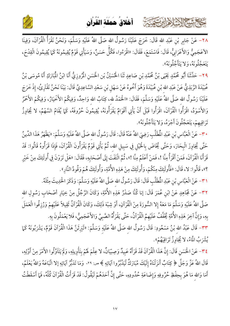

أخلاق حملة القرآن

كالمشتم الشاهاير تمتع

٢٨– عَنْ جَابِرِ بْنِ عَبْدِ الله قَالَ: خَرَجَ عَلَيْنَا رَسُولُ الله صَلَّى اللهُ عَلَيْهِ وَسَلَّمَ، وَنَحْنُ نَقْرَأُ الْقُرْآنَ، وَفِينَا الأَعَجَمِيُّ وَالأَعْرَابِيُّ، قَالَ: فَاسْتَمَعَ، فَقَالَ: «اقْرَءُوا، فَكُلُّ حَسَنٌ، وَسَيَأْتِي قَوْمٌ يُقِيمُونَهُ كَمَا يُقِيمُونَ الْقِدْحَ، يَتَعَجَّلُونَهُ، وَلا يَتَأَجَّلُونَهُ».

٢٩- حَدَّثَنَا أَبُو مُحَمَّدٍ يَحْيَى بْنُ مُحَمَّدِ بْنِ صَاعِدٍ ثَنَا الْحُسَيْنُ بْنِ الْحَسَنِ الْمُرُوزِيُّ أَنَا ابْنُ الْمُبَارَكِ أَنَا مُوسَى بْنُ عُبَيْدَةَ الرَّبَذِيُّ عَنْ عَبْدِ الله بْنِ عُبَيْدَةَ وَهُوَ أَخُوهُ عَنْ سَهْل بْنِ سَعْدٍ السَّاعِدِيِّ قَالَ: بَيْنَا نَحْنُ نَقْتَرِئُ، إِذْ خَرَجَ عَلَيْنَا رَسُولُ الله صَلَّى اللهُ عَلَيْهِ وَسَلَّمَ، فَقَالَ: «الْحَمْدُ لله، كِتَابُ الله وَاحِدٌ، وَفِيكُمْ الأَخْيَارُ، وَفِيكُمْ الأَحْمَرُ وَالأَسْوَدُ، اقْرَأُوا الْقُرْآنَ، اقْرَأُوا قَبْلَ أَنْ يَأْتِي أَقْوَامٌ يَقْرَأُونَهُ، يُقِيمُونَ حُرُوفَهُ، كَمَا يُقَامُ السَّهْمُ، لا يُجَاوِزُ تَرَاقِيهِمْ، يَتَعَجَّلُونَ أَجْرَهُ، وَلا يَتَأَجَّلُونَهُ».

٣٠ – عَنْ الْعَبَّاس بْنِ عَبْدِ الْمُطَلَّبِ رَضِيَ اللهُ عَنْهُ قَالَ: قَالَ رَسُولُ الله صَلَّى اللهُ عَلَيْهِ وَسَلَّمَ: «يَظْهَرُ هَذَا الدِّينُ حَتَّى يُجَاوِزَ الْبِحَارَ، وَحَتَّى يُخَاضَ بِالْخَيْلِ فِي سَبِيلِ الله، ثُمَّ يَأْتِي قَوْمٌ يَقْرَأُونَ الْقُرْآنَ، فَإِذَا قَرَأُوهُ قَالُوا: قَدْ قَرَأْنَا الْقُرْآنَ، فَمَنْ أَقْرَأُ مِنَّا !، فَمَنْ أَعْلَمُ مِنَّا !»، ثُمَّ الْتَفَتَ إِلَى أَصْحَابِهِ، فَقَالَ: «هَلْ تَرَوْنَ فِي أُولَئِكَ مِنْ خَيْرِ ؟»، قَالُوا: لا، قَالَ: «فَأُولَئِكَ مِنْكُمْ، وَأُولَئِكَ مِنْ هَذِهِ الأُمَّةِ، وَأُولَئِكَ هُمْ وَقُودُ النَّارِ».

٣١- عَنْ الْعَبَّاسِ بْنِ عَبْدِ الْمُطَلَّبِ قَالَ: قَالَ رَسُولُ الله صَلَّى اللهُ عَلَيْهِ وَسَلَّمَ: وَذَكَرَ الْحَدِيثَ مِثْلَهُ.

٣٢- عَنْ مُجَاهِدٍ عَنْ ابْنِ عُمَرَ قَالَ: إنا كُنَّا صَدْرُ هَذِهِ الأُمَّةِ، وَكَانَ الرَّجُلُ مِنْ خِيَارِ أصْحَابٍ رَسُولِ الله صَلَّى اللهُ عَلَيْهِ وَسَلَّمَ مَا مَعَهُ إِلا السُّورَةَ مِنْ الْقُرْآنِ، أَوْ شِبْهَ ذَلِكَ، وَكَانَ الْقُرْآنُ ثَقِيلاً عَلَيْهِمْ وَرُزِقُوا الْعَمَلَ بِهِ، وَإِنَّ آخِرَ هَذِهِ الأُمَّةِ يُخَفَّفُ عَلَيْهِمُ الْقُرْآنُ، حَتَّى يَقْرَأُهُ الصَّبِيُ وَالأَعْجَمِيُّ، فَلا يَعْمَلُونَ بِهِ.

٣٣– قَالَ عَبْدُ الله بْنُ مَسْعُودِ: قَالَ رَسُولُ الله صَلَّى اللهُ عَلَيْهِ وَسَلَّمَ: «لَيَرِثَنَّ هَذَا الْقُرْآنَ قَوْمٌ، يَشْرَبُونَهُ كَمَا يُشْرَبُ الْمَاءُ، لا يُجَاوِزُ تَرَاقِيَهُمْ».

٢٤- عَنْ الْحَسَنِ قَالَ: إِنَّ هَذَا الْقُرْآنَ قَدْ قَرَأَهُ عَبِيدٌ وَصِبْيَانٌ، لا عِلْمَ لَهُمْ بتأْوِيلِهِ، وَلَمْ يَتَاَوَّلُوا الأَمْرَ مِنْ أَوَّلِهِ، قَالَ اللهُ عَزَّ وَجَلَّ ﴿ كِتَابٌ أَنزَلْنَاهُ إِلَيْكَ مُبَارَكٌ لَّيَدَّبَّرُوا آيَاتِهِ ﴾ ص: ٢٩، وَمَا تَدَبُّرُ آيَاتِهِ إِلا اتَّبَاعَهُ وَاللهُ يَعْلَمُ، أَمَا وَالله مَا هُوَ بِحِفْظِ حُرُوفِهِ وَإِضَاعَةِ حُدُودِهِ، حَتَّى إِنَّ أَحَدَهُمْ لَيَقُولُ: قَدْ قَرَأْتُ الْقُرْآنَ كُلَّهُ، فَمَا أَسْقَطْتُ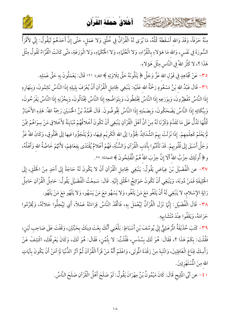

أخلاقُ حَمِلَة الْقُراَن

مِنْهُ حَرْفَاً، وَقَدْ وَالله أَسْقَطَهُ كُلَّهُ، مَا يُرَى لَهُ الْقُرْآنُ فِي خُلُقٍ وَلا عَمَل، حَتَّى إِنَّ أَحَدَهُمْ لَيَقُولُ: إِنِّي لأَقْرَأُ السُّورَةَ فِي نَفَسٍ، وَالله مَا هَؤَلاءِ بِالْقُرَّاءِ، وَلا الْعُلَمَاءِ، وَلا الْحُكَمَاءِ، وَلا الْوَرَعَةِ، مَتَّى كَانَتْ الْقُرَّاءُ تَقُولُ مِثْلَ هَذَا ؟، لا كَثَّرَ اللهُ فِي النَّاسِ مِثْلَ هَؤَلاءِ.

٣٥– عَنْ مُجَاهِدٍ فِي قَوْلِ الله عَزَّ وَجَلَّ ﴿ يَتْلُونَهُ حَقَّ تِلَاوَتِهِ ﴾ البقرة: ١٢١ قَالَ: يَعْمَلُونَ بِهِ حَقَّ عَمَلِهِ.

بحاحمته الخلافاريتون

٣٦- قَالَ عَبْدُ الله بْنُ مَسْعُودٍ رَحْمَةُ الله عَلَيْهِ: يَنْبَغِي لِحَامِل الْقُرْآنِ أَنْ يُعْرَفَ بِلِيلِهِ إِذَا النَّاسُ نَائِمُونَ، وَبِنَهَارِهِ إِذَا النَّاسُ مُفْطِرُونَ، وَبِوَرَعِهِ إِذَا النَّاسُ يَخْلِطُونَ، وَبِتَوَاضُعِهِ إِذَا النَّاسُ يَخْتَالُونَ، وَبِحُزْنِهِ إِذَا النَّاسُ يَفْرَحُونَ، وَبِبُكَائِهِ إِذَا النَّاسُ يَضْحَكُونَ، وَبِصَمْتِهِ إِذَا النَّاسُ يَخُوضُونَ. قَالَ مُحَمَّدُ بْنُ الْحُسَيْنِ رَحِمَهُ اللهُ: هَذِهِ الأَخْبَارُ كُلُّهَا تَدُلُّ عَلَى مَا تَقَدَّمَ ذِكْرُنَا لَهُ مِنْ أَنَّ أَهْلَ الْقُرْآنِ يَنْبَغِي أَنْ تَكُونَ أَخْلاقُهُمْ مُبَايِنَةً لأَخْلاقِي مَنْ سِوَاهُمْ مِمَّنْ لَمْ يَعْلَمْ كَعِلْمِهِمْ. إِذَا نَزَلَتْ بِهِمْ الشَّدَائِدُ لَجَؤُوا إلَى الله الْكَرِيْم فِيهَا، وَلَمْ يَلْجَؤُوا فيها إلَى مَخْلُوقٍ، وَكَانَ اللهُ عَزَّ وَجَلَّ أَسْبَقَ إِلَى قُلُوبِهِمْ. قَدْ تَأَدَّبُوا بِأَدَبِ الْقُرْآنِ وَالسُّنَّةِ، فَهُمْ أَعْلامٌ يُقْتَدَى بِفِعَالِهِمْ، لأَنَّهُمْ خَاصَّةُ الله وَأَهْلُهُ، و﴿ أُولَئِكَ حِزْبُ اللَّهَ أَلَا إِنَّ حِزْبَ اللَّهَ هُمُ الْمُفْلِحُونَ ﴾ المجادلة: ٢٢.

٣٧- عن الْفُضَيْلَ بْنَ عِيَاضٍ يَقُولُ: يَنْبَغِي لِحَامِلِ الْقُرْآنِ أَنْ لا يَكُونَ لَهُ حَاجَةً إِلَى أَحَدٍ مِنْ الْخَلْقِ، إِلَى الْخَلِيفَةِ فَمَنْ دُونَهَ، وَيَنْبَغِي أَنْ تَكُونَ حَوَائِجُ الْخَلْقِ إِلَيْهِ. قَالَ: سَمِعْتُ الْفُضَيْلَ يَقُولُ: حَامِلُ الْقُرْآنِ حَامِلُ رَايَةِ الإِسْلامِ، لا يَنْبَغِي لَهُ أَنْ يَلْغُو مَعَ مَنْ يَلْغُو، وَلا يَسْهُو مَعَ مَنْ يَسْهُو، وَلا يَلْهُو مَعَ مَنْ يَلْهُو.

٣٨- قَالَ الْفُضَيْلِ: إِنَّهَا نَزَلَ الْقُرْآنُ لِيُعْمَلَ بِهِ، فَاتَّخَذَ النَّاسُ قِرَاءَتَهُ عَمْلاً، أَي لِيُحِلُّوا حَلالَهُ، وَيُحَرِّمُوا حَرَامَهُ، وَيَقَفُوا عِنْدَ مُتْشَابِهِ.

٣٩- كَتَبَ حُذَيْفَةُ الْمُرْعَشِيُّ إِلَي يُوسُفَ بْنِ أَسْبَاطٍ: بَلَّغَنِي أَنَّكَ بِعْتَ دِينَكَ بِحَبَّتَيْنِ، وَقَفْتَ عَلَى صَاحِبِ لَبَنِ، فَقُلْتَ: بِكَمْ هَذَا ؟، فَقَالَ: هُوَ لَكَ بِسُدْسٍ، فَقُلْتُ: لا بِثُمُنِ، فَقَالَ: هُوَ لَكَ، وَكَانَ يَعْرِفُكَ، اكْشِفْ عَنْ رَأْسِكَ قِنَاعَ الْغَافِلِينَ، وَانْتَبهْ مِنْ رَقْدَةَ الْمُوتَى، وَاعْلَمْ أَنَّهُ مَنْ قَرَأَ الْقُرْآنَ ثُمَّ آثَرَ الدُّنْيَا لَمْ آمَنْ أَنْ يَكُونَ بِآيَاتِ الله مِنَ الْمُسْتَهْزِئِينَ.

• ٤ – عن أَبُي الْمَلِيحِ قَالَ: كَانَ مَيْمُونُ بْنُ مِهْرَانَ يَقُولُ: لَوْ صَلَحَ أَهْلُ الْقُرْآنِ صَلَحَ النَّاسُ.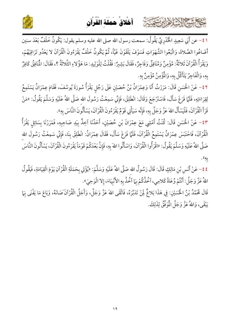

كالحشيم الشاهاير تتفتته



1 ٤ – عن أَبَي سَعِيدٍ الْخُدْرِيَّ يَقُولُ: سمعت رسول الله صلى الله عليه وسلم يقول: يَكُونُ خَلْفٌ بَعْدَ سنين <u>.</u> أَضَاعُوا الصَّلاةَ، وَاتَّبَعُوا الشَّهَوَاتِ فَسَوْفَ يَلْقَوْنَ غَيَّاً، ثُمَّ يَكُونُ خَلْفٌ يَقْرَءُونَ الْقُرْآنَ لا يَعْدُو تَرَاقِيَهُمْ، وَيَقْرَأُ الْقُرْآنَ ثَلاثَةٌ: مُؤْمِنٌ وَمُنَافِقٌ وَفَاجِرٌ، فَقَالَ بَشِيرٌ فَقَالَ بَشِيرٌ: فَقُلْتُ لِلْوَلِيدِ: مَا هَؤُلاءِ الثَّلاثَةُ ؟ مَا هَؤُلاءِ الثلاثَةُ ؟، فَقَالَ: المُنَافِقُ كَافِرٌ ۚ لُنَافِقُ كَافِ بِهِ، وَالْفَاجِرُ يَتَأَكَّلُ بِهِ، وَالْمُؤْمِنُ مُؤْمِنٌ بِهِ.

٤٢– عَنْ الْحَسَنِ قَالَ: مَرَرْتُ أَنَا وَعِمْرَانُ بْنُ حُصَيْنٍ عَلَى رَجُلٍ يَقْرَأُ سُورَةَ يُوسُفَ، فَقَامَ عِمْرَانُ يَسْتَمِعُ لِقِرَاءَتِهِ، فَلَمَّا فَرَغَ سَأَلَ، فَاسْتَرْجَعَ وَقَالَ: انْطَلِقْ، فَإِنِّي سَمِعْتُ رَسُولَ اللهِ صَلَّى اللهُ عَلَيْهِ وَسَلَّمَ يَقُولُ: «مَنْ قَرَأَ الْقُرْآنَ، فَلْيَسْأَلْ اللهَ عَزَّ وَجَلَّ بِهِ، فَإِنَّه سَيَأْتِي قَوْمٌ يَقْرَءُونَ الْقُرْآنَ، يَسْأَلُونَ النَّاسَ بِهِ». Ĵ  $\overline{\phantom{a}}$ 

٤٣ - عَنْ الْحَسَنِ قَالَ: كُنْتُ أَمْشِي مَعَ عِمْرَانَ بْنِ حُصَيْنٍ، أَحَدُنَا آخِذٌ بِيَدِ صَاحِبِهِ، فَمَرَرْنَا بِسَائِلٍ يَقْرَأُ الْقُرْآنَ، فَاحْتَبَسَ عِمْرَانُ يَسْتَمِعُ الْقُرْآنَ، فَلَمَّا فَرَغَ سَأَلَ، فَقَالَ عِمْرَانُ: انْطَلِقْ بِنَا، فَإِنِّي سَمِعْتُ رَسُولَ اللهِ Ĵ صَلَّى اللهُ عَلَيْهِ وَسَلَّمَ يَقُولُ: «اقْرَأُوا الْقُرْآنَ، وَاسْأَلُوا اللهَ بِهِ، فَإِنَّ بَعْدَكُمْ قَوْمَاً يَقْرَءُونَ الْقُرْآنَ، يَسْأَلُونَ النَّاسَ ز  $\overline{a}$ به».

٤٤ – عَنْ أَنَسٍ بْنِ مَالِكٍ قَالَ: قَالَ رَسُولُ اللهِ صَلَّى اللهُ عَلَيْهِ وَسَلَّمَ: «يُؤْتَي بِحَمَلَةِ الْقُرْآنِ يَوْمَ الْقِيَامَةِ، فَيَقُولُ اللهُ عَزَّ وَجَلَّ: أَنْتُمْ وُعَاةُ كَلامِي، اَخُذُكُمْ بِهَا اَخُذُ بِهِ الأَنْبِيَاءَ، إِلا الْوَحِيَ ذ  $\overline{\phantom{0}}$ إِلا الْوَحِيَ». j

قَالَ مُحَمَّدُ بْنُ الْحُمَىيْنِ: فِي هَذَا بَلاغٌ لِمَنْ تَدَبَّرَهُ، فَاتَّقَى اللهَ عَزَّ وَجَلَّ، وَأَجَلَّ الْقُرْآنَ صَانَهُ، وَبَاعَ مَا يَفْنَى بِهَا يَبْقَى، وَاللهُ عَزَّ وَجَلَّ الْمُوَفِّقُ لِذَلِكَ.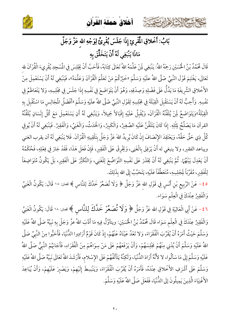





بَابُ: أَخْلاقِ الْمُقْرِئِ إِذَا جَلَسَ يُقْرِئُ لِوَجْهِ الله عَزَّ وَجَلَّ

## مَاذَا يَنْبَغِي لَهُ أَنْ يَتَخَلَّقَ بِهِ

قَالَ مُحَمَّدُ بْنُ الْحُسَيْنِ رَحِمَهُ اللهُ: يَنْبَغِي لِمَنْ عَلَّمَهُ اللهُ تَعَالَى كِتَابَهُ، فَأَحَبَّ أَنْ يَجْلِسَ فِي الْمُسْجِدِ يُقْرِيءَ الْقُرْآنَ لله تَعَالَى، يَغْتَنِمَ قَوْلَ النَّبِيِّ صّلَّى اللهُ علَيْهِ وَسَلَّمَ «خَيْرُكُمْ مَنْ تَعَلَّمَ الْقُرْآنَ وَعَلَّمَهُ»، فَيَنْبَغِي لَهُ أَنْ يَسْتَعْمِلَ مِنْ الأُخْلاقِ الشَّريفَةِ مَا يَدُلُّ عَلَى فَضْلِهِ وَصِدْقِهِ، وَهُوَ أَنْ يَتَوَاضَعَ فِي نَفْسِهِ إِذَا جَلَسَ فِي مَجْلِسِهِ، وَلا يَتَعَاظَمُ فِي نَفْسِهِ. وَأُحِبُّ لَهُ أَنْ يَسْتَقْبِلَ الْقِبْلَةَ فِي مَجْلِسِهِ لِقَوْلِ النَّبِيِّ صّلَّى اللهُ علَيْهِ وَسَلَّمَ «أَفْضَلُ الْمَجَالِس مَا اسْتُقْبلَ بِهِ الْقِبْلَةُ»وَيَتَوَاضَعُ لَمِنْ يُلَقِّنُهُ الْقُرْآنَ، وَيُقْبِلُ عَلَيْهِ إِقْبَالاً جَمِيلاً، وَيَنْبَغِي لَهُ أَنِ يَسْتَعْمِلَ مَعَ كُلِّ إِنْسَانٍ يُلَقِّنُهُ القرآن مَا يَصْلُحُ لِثْلِهِ. إذَا كَانَ يَتَلَقَّنُ عَلَيْهِ الصَّغِيرُ، وَالْكَبِيرُ، وَالْحَدَثُ، وَالْغَنِيُ، وَالْفَقِيرُ. فَيَنْبَغِي لَهُ أَنْ يُوفِي كُلَّ ذِي حَقٍّ حَقَّهُ، وَيَعْتَقِدَ الإِنْصَافَ إِنْ كَانَ يُرِيدُ اللهَ عَزَّ وَجَلَّ بِتَلْقِينِهِ الْقُرْآنَ. فَلا يَنْبَغِي لَهُ أن يقرب الغني ويباعد الفقير، ولا ينبغي له أَنْ يَرْفِقَ بِالْغَنِي، وَيَخْرِقَ عَلَى الْفَقِيرِ، فَإِنْ فَعَلَ هَذَا، فَقَدْ جَارَ فِي فِعْلِهِ، فَحُكْمُهُ أَنْ يَعْدِلَ بَيْنَهُمَا. ثُمَّ يَنْبَغِي لَهُ أَنْ يَحْذَرَ عَلَى نَفْسِهِ التَّوَاضُعَ لِلْغَنِي، وَالتَّكَبُّرَ عَلَى الْفَقِيرِ، بَلْ يَكُونُ مُتَوَاضِعَاً لِلْفَقِيرِ، مُقَرِّبَاً لِجْلِسِهِ، مُتَعَطِّفَاً عَلَيْهِ، يَتَحَبَّبُ إِلَى الله بِذَلِكَ.

ه ٤– عَنْ الرَّبِيع بْنِ أَنَسٍ فِي قَوْلِ الله عَزَّ وَجَلَّ ﴿ وَلَا تُصَعِّرْ خَدَّكَ لِلنَّاسِ ﴾ نفعان: ١٨ قَالَ: يَكُونُ الْغَنِيُ وَالْفَقِيرُ عِنْدَكَ فِي الْعِلْمِ سَوَاء.

٤٦ – عَنْ أَبِي الْعَالِيَةِ فِي قَوْلِ الله عَزَّ وَجَلَّ ﴿ وَلَا تُصَعِّرْ خَدَّكَ لِلنَّاسِ ﴾ نفعان: ١٨ قَالَ: يَكُونُ الْغَنِيُ وَالْفَقِيرُ عِنْدَكَ فِي الْعِلْمِ سَوَاء قَالَ مُحَمَّدُ بْنُ الْحُسَيْنِ: ويتأوَّلُ فِيهِ مَا أَدَّبَ اللهُ عزَّ وَجَلّ بهِ نَبيَّهُ صَلَّى اللهُ عَلَيْهِ وَسَلَّمَ حَيْثُ أَمَرَهُ أَنْ يُقَرِّبَ الْفُقَرَاءَ، وَلا تَعْدُ عَيْنَاهُ عَنْهُمْ، إِذْ كَانَ قَوْمٌ أَرَادِوا الدُّنْيَا، فَأَحَبُّوا مِنْ النَّبِيِّ صَلَّى اللهُ عَلَيْهِ وَسَلَّمَ أَنْ يُدْنِي مِنْهُمْ مَجْلِسَهُمْ، وَأَنْ يَرْفَعَهُمْ عَلَى مَنْ سِوَاهُمْ مِنْ الْفُقَرَاءِ، فَأَجَابَهُمْ النَّبِيُّ صَلَّى اللهُ عَلَيْهِ وَسَلَّمَ إِلَى مَا سَأَلُوا، لا لأَنَّهُ أَرَادَ الدُّنْيَا، وَلَكِنَّهُ يَتَأَلَفُهُمْ عَلَى الإِسْلام، فَأَرْشَدَ اللهُ تَعَالَى نَبِيَّهُ صَلَّى اللهُ عَلَيْهِ وَسَلَّمَ عَلَى أَشْرَفِ الأَخْلاقِ عِنْدَهُ، فَأَمَرَهُ أَنْ يُقَرِّبَ الْفُقَرَاءَ، وَيَنْبَسِطَ إِلَيْهِمْ، وَيَصْبِرَ عَلَيْهِمْ، وَأَنْ يُبَاعِدَ الأَغْنِيَاءَ الَّذِينَ يَمِيلُونَ إِلَى الدُّنْيَا، فَفَعَلَ صَلَّى اللهُ عَلَيْهِ وَسَلَّمَ.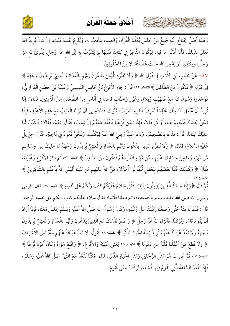

أخلاق حملة القرآن

كالحشيخ الشاها النصيبة

وَهَذَا أَصْلٌ يَحْتَاجُ إِلَيْهِ جَمِيعُ مَنْ جَلَسَ يُعَلِّمُ الْقُرْآنَ وَالْعِلْمَ، يتأدبُ بهِ، وَيُلْزِمُ نَفْسَهُ ذَلِكَ، إِنْ كَانَ يُرِيدُ اللهَ تَعَالَى بِذَلِكَ. فَأَنَا أَذْكُرُ مَا فِيهِ، لِيَكُونَ النَّاظِرُ فِي كِتَابِنَا فَقِيهَاً بِهَا يَتَقَرَّبُ بِهِ إلَى الله عزَّ وَجَلَّ، يُقْرِئُ لله عزَّ وَجَلَّ، وَيَقْتَضِي ثَوَابَهُ مِنَ الله جَلَّتْ عَظَمَتُهُ، لا مِنْ الْمَخْلُوقِينَ.

٤٧ - عَنْ خَبَّابٍ بْنِ الأَرَتِ فِي قَوْلِ الله ﴿ وَلَا تَطْرُدِ الَّذِينَ يَدْعُونَ رَبَّهُم بِالْغَدَاةِ وَالْعَشِيِّ يُرِيدُونَ وَجْهَهُ ﴾ إِلَى قَوْلِهِ ﴿ فَتَكُونَ مِنَ الظَّالِينَ ﴾ الأنعام: ٥٢: قَالَ: جَاءَ الأَقْرَعُ بْنُ حَابِسِ التَّمِيمِيُّ وَعُيَيْنَةَ بْنُ حِصْنِ الْفَزَارِيُّ، فَوَجَدُوا رَسُولَ الله مَعَ صُهَيْبٍ وَبِلالٍ وَعَمَّارٍ وَخَبَّابٍ قاعدا فِي أُنَاسٍ مِنْ الضُّعَفَاءِ مِنْ المُؤْمِنِينَ، فَقَالا: إِنَا نُرِيدُ أَنْ تَجْعَلَ لَنَا مِنْكَ مَجْلِسَاً تَعْرِفُ لَنَا بِهِ الْعَرَبُ، نَأْتِيكَ فَنَسْتَحِيى أَنْ تَرَانَا الْعَرَبُ مَعْ هَذِهِ الأَعْبُدِ، فَإِذَا نَحْنُ جَئْنَاكَ فَنَحْهِمْ عَنَّا، أَوْ كَمَا قَالا، فَإِذَا نَحْنُ فَرَغْنَا فَاقْعُدْ مَعَهُمْ إِنْ شِئْتَ، فَقَالَ: نَعَمْ، فَقَالا: فَاكْتُبْ لَنَا عَلَيْكَ كِتَابَاً، قَالَ: فَدَعَا بِالصَّحِيفَةِ، وَدَعَا عَلِيًّا رَضِيَ اللهُ عَنْهُ لِيَكْتُبَ، وَنَحْنُ قُعُودٌ فِي نَاحِيَةٍ، فَنَزَلَ جِبْرِيلُ عَلَيْهِ السَّلامُ، فَقَالَ ﴿ وَلَا تَطْرُدِ الَّذِينَ يَدْعُونَ رَبَّهُم بِالْغَدَاةِ وَالْعَشِيِّ يُرِيدُونَ وَجْهَهُ مَا عَلَيْكَ مِنْ حِسَابِهِم مِّن شَيْءٍ وَمَا مِنْ حِسَابِكَ عَلَيْهِم مِّن شَيْءٍ فَتَطْرُدَهُمْ فَتَكُونَ مِنَ الظَّالِينَ ﴾ الانعام: ٥٢، ثُمَّ ذَكَرَ الأَقْرَعَ وَعُيَيْنَةَ، فَقَالَ ﴿ وَكَذَلِكَ فَتَنَّا بَعْضَهُم بِبَعْضٍ لِّيَقُولُوا أَهَؤُلَاءِ مَنَّ اللهُ عَلَيْهِم مِّن بَيْنِنَا أَلَيْسَ اللهُ بِأَعْلَمَ بِالشَّاكِرِينَ ﴾

ثُمَّ قَالَ ﴿وَإِذَا جَاءَكَ الَّذِينَ يُؤْمِنُونَ بِآيَاتِنَا فَقُلْ سَلَامٌ عَلَيْكُمْ كَتَبَ رَبُّكُمْ عَلَى نَفْسِهِ ﴾ الانعام: ٥٤، قال: فرمى رسول الله صلى الله عليه وسلم بالصحيفة، ثم دعانا فأتيناه فقال سلام عليكم كتب ربكم على نفسه الرحمة. قَالَ: فَدَنَوْنَا مِنْهُ حَتَّى وَضَعْنَا رُكْبَتَنَا عَلَى رُكْبَتِهِ، وَكَانَ رَسُولُ الله صَلَّى اللهُ عَلَيْهِ وَسَلَّمَ يَجْلِسُ مَعَنَا، فَإِذَا أَرَادَ أَنْ يَقُومَ قَامَ، وَتَرَكَنَا، فَأَنْزَلَ اللهُ عَزَّ وَجَلَّ ﴿ وَاصْبِرْ نَفْسَكَ مَعَ الَّذِينَ يَدْعُونَ رَبَّهُم بالْغَدَاةِ وَالْعَشِيِّ يُرِيدُونَ وَجْهَهُ ولَا تَعْدُ عَيْنَاكَ عَنْهُمْ تُرِيدُ زِينَةَ الْحَيَاةِ الدُّنْيَا ﴾ الكهف: ٢٨ يَقُولُ: لا تَعْدُ عَيْنَاكَ عَنْهُمْ وَتُجَالِسُ الأَشْرَافَ ﴿ وَلَا تُطِعْ مَنْ أَغْفَلْنَا قَلْبَهُ عَن ذِكْرِنَا ﴾ النهف: ٢٨ يَعْنِي عُيَيْنَةَ وَالأَقْرَعَ، ﴿ وَاتَّبَعَ هَوَاهُ وَكَانَ أَمْرُهُ فُرُطًا ﴾ الكهف: ٢٨، ثُمَّ ضَرَبَ لَهُمْ مَثَلَ الرَّجُلَيْنِ وَمَثَلَ الْحَيَاةِ الدُّنْيَا، قَالَ: فَكُنَّا نَقْعُدُ مَعَ النَّبِىِّ صَلَّى اللهُ عَلَيْهِ وَسَلَّمَ، فَإِذَا بَلَغْنَا السَّاعَةَ الَّتِي يَقُومُ فِيهَا قُمْنَا، وَتَرَكْنَاهُ حَتَّى يَقُومَ.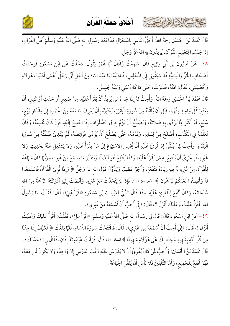

أخلاقُ حَمِلَة الْقُراَن

كحاحمشي الشاهاير تفتته

قَالَ مُحَمَّدُ بْنُ الْحُسَيْنِ رَحِمَهُ اللهُ: أَحَقَّ النَّاسِ بِاسْتِعْمَالِ هَذَا بَعْدَ رَسُولِ الله صَلَّى اللهُ عَلَيْهِ وَسَلَّمَ أَهْلُ الْقُرْآنِ، إِذَا جَلَسُوا لِتَعْلِيم الْقُرْآنِ، يُرِيدُونَ بِهِ اللهَ عَزَّ وَجَلَّ.

٤٨- عَنْ هَارُونَ بْنِ أَبِي وَكِيعٍ قَالَ: سَمِعْتُ زَاذَانَ أَبَا عُمَرَ يَقُولُ: دَخَلْتُ عَلَى ابْنِ مَسْعُودٍ فَوَجَدْتُ أَصْحَابِ الْخَزِّ وَالْيَمَنِيَّةِ قَدْ سَبَقُونِي إِلَى الْمَجْلِسِ، فَنَادَيْتُهُ: يَا عَبْدَ الله؛ مِنْ أَجْلِ أَنِّي رَجُلٌ أَعْمَى أَدْنَيْتَ هَؤ لاءِ وَأَقْصَيْتَنِي، فَقَالَ: ادْنُهُ، فَدَنَوْتُ، حَتَّى مَا كَانَ بَيْنِي وَبَيْنَهُ جَلِيسٌ.

قَالَ مُحَمَّدُ بْنُ الْحُسَيْنِ رَحِمَهُ اللهُ: وَأُحِبُّ لَهُ إِذَا جَاءهُ مَنْ يُرِيدُ أَنْ يَقْرَأَ عَلَيْهِ، مِنْ صَغِيرِ أَوْ حَدَثٍ أَوْ كَبِيرِ؛ أَنْ يَعْتَبِرَ كُلَّ وَاحِدٍ مِنْهُمْ، قَبْلَ أَنْ يُلَقِّنَهُ مِنْ سُورَةِ الْبَقَرَةِ، يَعْتَبِرُهُ بِأَنْ يَعْرِفَ مَا مَعَهُ مِنَ الْحَمْدِ، إِلَى مِقْدَارِ رُبُعٍ، سُبْع، أَوْ أَكْثَرَ مِمَّا يُؤَدِّي بِهِ صَلاتَهُ، وَيَصْلُحُ أَنْ يَؤُمَّ بِهِ فِي الصَّلَوَاتِ إِذَا احْتِيجَ إِلَيْهِ، فَإِنْ كَانَ يُحْسِنُهُ، وَكَانَ تَعَلَّمَهُ فِي الْكُتَّابِ؛ أَصْلَحَ مِنْ لِسَانِهِ، وَقَوَّمَهُ، حَتَّى يَصْلُحَ أَنْ يُؤَدِّي فَرَائِضَهُ، ثُمَّ يَبْتَدِئُ فَيُلَقَّنُهُ مِنْ سُورَةِ الْبَقَرَةِ. وَأُحِبُّ لِمَنْ يُلَقِّنُ إِذَا قُرِئَ عَلَيْهِ أَنْ يُحْسِنَ الاسْتِهَاعَ إِلَى مَنْ يَقْرَأُ عَلَيْهِ، وَلا يَشْتَغِلَ عَنْهُ بِحَدِيثٍ وَلا غَيْرِهِ، فَبِالْحَرِيِّ أَنْ يَنْتَفِعَ بِهِ مَنْ يَقْرَأُ عَلَيْهِ، وَكَذَا يَنْتَفِعُ هُوَ أَيْضَاً، وَيَتَدَبَّرَ مَا يَسْمَعُ مِنْ غَيْرِهِ، وَرَبُّهَا كَانَ سَهَاعُهُ لِلْقُرْآنِ مِنْ غَيْرِهِ لَهُ فِيهِ زِيَادَةُ مَنْفَعَةٍ، وَأَجْرٌ عَظِيمٌ، وَيَتَأَوَّلَ قَوْلَ الله عَزَّ وَجَلَّ ﴿ وَإِذَا قُرِئَ الْقُرْآنُ فَاسْتَمِعُوا لَهُ وَأَنصِتُوا لَعَلَّكُمْ تُرْحَمُونَ ﴾ الأعراف: ٢٠٤. فَإِذَا لَمْ يَتَحَدَّثْ مَعَ غَيْرِهِ، وَأَنْصَتَ إِلَيْهِ أَدْرَكَتُهُ الرَّحْمَةُ مِنَ الله سُبْحَانَهُ، وَكَانَ أَنْفَعَ لِلْقَارِئِ عَلَيْهِ. وَقَدْ قَالَ النَّبِيُّ لِعَبْدِ الله بْنِ مَسْعُودٍ «اقْرَأْ عَلِيَّ»، قَالَ: فَقُلْتُ: يَا رَسُولَ الله: أَقْرَأُ عَلَيْكَ وَعَلَيْكَ أُنْزَلَ ؟، قَالَ: «إِنِّي أُحِبُّ أَنْ أَسْمَعَهُ مِنْ غَيْرِي».

4 ٤ – عَنْ ابْنِ مَسْعُودٍ قَالَ: قَالَ لِي رَسُولُ الله صَلَّى اللهُ عَلَيْهِ وَسَلَّمَ: «اقْرَأْ عَلِيَّ»، فَقُلْتُ: أَقْرَأُ عَلَيْكَ وَعَلَيْكُ أُنْزَلَ !، قَالَ: «إِنِّي أُحِبُّ أَنْ أَسْمَعَهُ مِنْ غَيْرِي»، قَالَ: فَافْتَتَحْتُ سُورَةَ النِّسَاءِ، فَلَمَّا بَلَغْتُ ﴿ فَكَيْفَ إِذَا جِئْنَا مِن كُلِّ أُمَّةٍ بِشَهِيدٍ وَجِئْنَا بِكَ عَلَى هَؤُلَاءِ شَهِيدًا ﴾ النساء: ٤١، قَالَ: فَرَأَيْتُ عَيْنَيْهِ تَذْرِفَانِ، فَقَالَ لي: «حَسْبُكَ». قَالَ مُحَمَّدُ بْنُ الْحُسَيْنِ: وَأُحِبُّ لِمَنْ كَانَ يُقْرِئُ أَنْ لا يَدْرُسَ عَلَيْهِ وَقْتَ الدَّرْس إِلا وَاحِدٌ، وَلا يَكُونَ ثَانٍ مَعَهُ، فَهُوَ أَنْفَعُ لِلْجَمِيعِ، وَأَمَّا التَّلْقِينُ فَلا بَأْسَ أَنْ يُلَقِّنَ الْجَهَاعَةَ.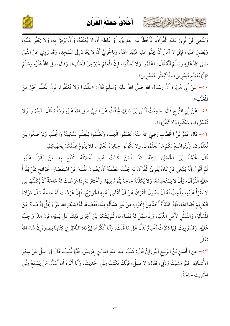

كالحشيخ الشاهابرتون



وَيَنْبَغِي لَمِنْ قُرِئَ عَلَيْهِ الْقُرْآنُ، فَأَخْطَأَ فِيهِ الْقَارِئُ، أَوْ غَلَطَ؛ أَنْ لا يُعَنَّفَهُ، وَأَنْ يَرْفِقَ بِهِ، وَلا يَجْفُو عَلَيْهِ،  $\cdot$ ì  $\ddot{\phantom{0}}$ وَيَصْبِرَ عَلَيْهِ، فَإِنِّي لا آمَنُ أَنْ يَجْفُو عَلَيْهِ فَيَنْفِرَ عَنْهُ، وَبِالْحَرِيِّ أَنْ لا يَعُودَ إِلَى المُسْجِدِ i وَبِالْحَرِيِّ أَنْ لا يَعُودَ إِلَى الْمُسْجِدِ، وَقَدْ رُوِي عَنْ النَّبِيِّ صَلَّى اللهُ عَلَيْهِ وَسَلَّمَ أَنَّهُ قَالَ: «عَلَّمُوا وَلا تُعَنِّفُوا، فَإِنَّ الْمُعَلِّمَ خَيْرٌ مِنْ الْمُعَنِّفِ»، وَقَالَ صَلَّى اللهُ عَلَيْهِ وَسَلَّمَ «إِنَّمَا بُعْثِتُم مُّيَسِّرِينَ، وَلَمْ تُبْعَثُوا مُعَسِّرِينَ».  $\overline{a}$ 

• ٥- عَنْ أَبِي هُرَيْرَةَ أَنْ رَسُولَ اللهِ صَلَّى اللهُ عَلَيْهِ وَسَلَّمَ قَالَ: «عَلَّمُوا وَلا تُعَنَّفُوا، فَإِنَّ الْمُعَلِّمَ خَيْرٌ مِنْ فَإِنَّ الْمُعَلَّمَ خَيْرُ الْمُعَنَّفِ».

٥١ - عَنْ أَبِي التَّيَاحِ قَالَ: سَمِعْتُ أَنَسَ بْنَ مَالِكٍ يُحَدِّثُ عَنْ النَّبِيِّ صَلَّى اللهُ عَلَيْهِ وَسَلَّمَ قَالَ: «يَسِّرُوا وَلا تَعَسِّرُوا، وَسَكَنُوا وَلا تَنْفَرُوا».

٥٢ - قَالَ عُمَرُ بْنُ الْخَطَّابِ رَضِيَ اللهُ عَنْهُ نْطَّابِ رَضِيَ اللهُ عَنْهُ: تَعَلَّمُوا الْعِلْمَ، وَتَعَلَّمُوا لِلْعِلْمِ السَّكِينَةَ وَالْحِلْمَ، وَتَوَاضَعُوا لَمِنْ تُعَلِّمُونَ، وَلْيَتَوَاضَعُ لَكُمْ مَنْ تُعَلِّمُونَ، وَلا تَكُونُوا جَبَابِرَةَ الْعُلَمَاءِ وَلا تَكُونُوا جَبَابِرَةَ الْعُلَمَاءِ، فَلا يَقُومُ عِلْمُكُمْ بِجَهْلِكِمْ.  $\mathbf{L}$  $\epsilon$ 

قَالَ مُحَمَّدُ بْنُ الْحُسَيْنِ رَحِمَهُ اللهُ قَالَ مُحَمَّدُ بْنُ الْحُسَيْنِ رَحِمَهُ اللهُ: فَمَنْ كَانَتْ هَذِهِ أَخْلاقُهُ انْتَفَعَ بِهِ مَنْ يَقْرَأُ عَلَيْهِ. ثُمَّ أَقُولَ إِنَّهُ يَنْبَغِي لَمِنْ كَانَ يُقْرِئُ الْقُرْآنَ لله جَلَّتْ عَظَمَتُهُ أَنْ يَصُونَ نَفْسَهُ عَنْ اسْتِقْضَاءِ الْحَوَائِجِ مِمَّنْ يَقْرَأُ  $\ddot{\bm{z}}$ ءِ الْحَوَائِجِ مِ  $\dot{c}$ عَلَيْهِ الْقُرْآنَ، وَأَنْ لا يَسْتَخْدِمَهُ، وَلا يُكَلِّفَهُ حَاجَةً يَقُومُ فِيهَا  $\cdot$ نَلَّفَهُ حَاجَةً يَقُومُ فِيهَا. وأَخْتَارُ لَهْ إِذَا عَرَضَتْ لَهُ حَاجَةٌ أَنْ يُكَلِّفَهَا لَمِنْ لا يَقْرَأُ عَلَيْهِ، وَأُحِبُّ لَهُ أَنْ يَصُونَ الْقُرْآنَ عَنْ أَنْ تُقْضَى لَهُ بِهِ الْحَوَائِجُ، فَإِنْ عَرَضَتْ لَهُ حَاجَةٌ سَأَلَ مَوْلاهُ ز الْكَرِيْمَ قَضَاءَهَا، فَإِذَا ابْتَدَأَهُ أَحَدٌ مِنْ إِخْوَانِهِ مِنْ غَيْرِ مَسْأَلَةٍ مِنْهُ <u>د</u>  $\ddot{\phantom{0}}$ فَإِذَا ابْتَدَأَهُ أَحَدٌ مِنْ إِخْوَانِهِ مِنْ غَيْرِ مَسْأَلَةٍ مِنْهُ، فَقَضَاهَا لَهُ؛ شَكَرَ اللهَ عَزَّ وَجَلَّ إِذْ صَانَهُ عَنْ المُسْأَلَةِ، وَالتَّذَلُّلِ لأَهْلِ الدُّنْيَا، وَإِذْ سَهَّلَ لَهُ قَضَاءَهَا، ثُمَّ يَشْكُرُ لِمَنْ أَجْرَى ذَلِكَ عَلَى يَدَيْهِ، فَإِنَّ هَذَا وَاجِبٌ  $\overline{\phantom{a}}$ عَلَيْهِ. وَقَدْ رُوِيَتْ فِيهَا ذَكَرْتُ أَخْبَارٌ تَدُلُّ عَلَى مَا قُلْتُ، وَأَنَا أَذْكُرُهَا لِيَزْدَادَ  $\ddot{\phantom{0}}$  $\ddot{\phantom{0}}$ أَنَا أَذْكُرُهَا لِيَزْدَادَ النَّاظِرُ فِي كِتَابِنَا بَصِيرَةً إِنْ شَاءَ اللهُ  $\overline{a}$ .<br>نَّاظِرُ فِي كِتَابِنَا بَ تَعَالَى.

٥٣ – عن الحُسَنِ بْنُ الرَّبِيعِ الْبُورَانِيُّ قَالَ: كُنْتُ عِنْدَ عَبْدِ اللهِ بْنِ إِدْرِيسَ، فَلَمَّا قُمْتُ، قَالَ لِي: سَلْ عَنْ سِعْرِ J الأُشْنَانِ، ۚ فَلَمَّا مَشِيْتُ رَدَّنِي، فَقَالَ: لا تَسِلْ، فَإِنَّكَ تَكْتُبُ مِنِّي الْحَدِيثَ، وَأَنَا أَكْرَهُ أَنْ أَسْأَلَ مَنْ يَسْمَعُ مِنِّي وَأَنَا أَكْرَهُ أَنْ أَسْأَلَ مَنْ يَسْمَعُ الْحَلِيثَ حَاجَةً.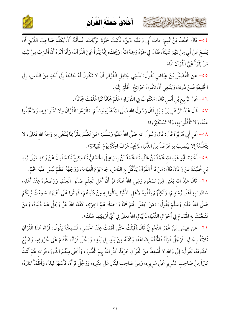





٤ ٥ - قَالَ خَلَفُ بْنُ تَمِيمٍ: مَاتَ أَبِي وَعَلَيْهِ دَيْنٌ، فَأَتَيْتُ حَمْزَةَ الزَّيَّاتَ، فَسَأَلْتُهُ أَنْ يُكَلِّمَ صَاحِبَ الدَّيْنِ أَنْ يَضَعَ عَنْ أَبِي مِنْ دَيْنِهِ شَيْئَاً، فَقَالَ لِي حَمْزَةُ رَحِمَهُ اللهُ: وَيُحَكَ؛ إِنَّهُ يَقْرَأُ عَلِيَّ الْقُرْآنَ، وَأَنَا أَكْرَهُ أَنْ أَشْرَبَ مِنْ بَيْتِ مَنْ يَقْرَأُ عَلِيَّ الْقُرْآنَ المَّاءَ.

٥٥– عن الْفُضَيْلَ بْنَ عِيَاضٍ يَقُولُ: يَنْبَغِي لِحَامِلِ الْقُرْآنِ أَنْ لا تَكُونَ لَهُ حَاجَةً إِلَى أَحَدٍ مِنْ النَّاسِ، إِلَى الْخَلِيفَةِ فَمَنْ دُونَهَ، وَيَنْبَغِي أَنْ تَكُونَ حَوَائِجُ الْخَلْقِ إِلَيْهِ.

٥٦ - عَنْ الرَّبِيعِ بْنِ أَنَسٍ قَالَ: مَكْتُوبٌ فِي التَّوْرَاةِ «عَلِّمْ جَانَاً كَمَا عُلِّمْتَ جَانَاً».

٥٧ – قَالَ عَبْدُ الرَّحْمَنِ بْنُ شِبْلِ قَالَ رَسُولُ الله صَلَّى اللهُ عَلَيْهِ وَسَلَّمَ: «اقْرَءُوا الْقُرْآنَ وَلا تَغْلُوا فِيهِ، وَلا تَجْفُوا عَنْهُ، وَلا تَأْكُلُوا بِهِ، وَلا تَسْتَكْثِرُوا».

٥٨= عَنِ أَبِي هُرَيْرَةَ قَالَ: قَالَ رَسُولُ الله صَلَّى اللهُ عَلَيْهِ وَسَلَّمَ: «مَنْ تَعَلَّمَ عِلْمَأ يُبْتَغَى بِهِ وَجْهُ الله تَعَالَى، لا يَتَعَلَّمُهُ إِلا لِيُصِيبَ بِهِ عَرَضَاً مِنْ الدُّنْيَا، لَمْ يَجِدْ عَرْفَ الْجَنَّةِ يَوْمَ الْقِيَامَةِ».

٥٩ – أَخْبَرَنَا أَبُو عَبْدِ الله مُحَمَّدُ بْنُ مَخْلَدٍ ثَنَا مُحَمَّدُ بْنُ إِسْهَاعِيلَ الْحَسَّانِيُّ ثَنَا وَكِيعٌ ثَنَا سُفْيَانُ عَنْ وَاقِدٍ مَوْلَى زَيْدِ بْنِ خُلَيْدَةَ عَنْ زَاذَانَ قَالَ: مَنْ قَرَأَ الْقُرْآنَ يَتَأَكَّلُ بِهِ النَّاسَ، جَاءَ يَوْمَ الْقِيَامَةِ، وَوَجْهُهُ عَظْمٌ لَيْسَ عَلَيْهِ لَخْمٌ. ٦٠– قَالَ عَبْدُ الله يَعْنِي ابْنَ مَسْعُودٍ رَضِيَ اللهُ عَنْهُ: لَوْ أَنَّ أَهْلَ الْعِلْم صَانُوا الْعِلْمَ، وَوَضَعُوهُ عِنْدَ أَهْلِهِ، سَادُوا بِهِ أَهْلَ زَمَانِهِمْ، وَلَكِنَّهُمْ بَذَلُوهُ لأَهْلِ الدُّنْيَا لِيَنَالُوا بِهِ مِنْ دُنْيَاهُمْ، فَهَانُوا عَلَى أَهْلِهَا، سَمِعْتُ نَبِيَّكُمْ صَلَّى اللهُ عَلَيْهِ وَسَلَّمَ يَقُولُ: «مَنْ جَعَلَ الْهَمَّ هَمَّاً وَاحِدَاً؛ هَمَّ آخِرَتِهِ، كَفَاهُ اللهُ عَزَّ وَجَلَّ هَمَّ دُنْياهُ، وَمَنْ تَشَعَّبَتْ بِهِ الْهُمُومُ فِي أَحْوَالِ الدُّنْيَا، لَمْ يُبَالِ اللهُ تعالَى فِي أَيِّ أَوْدِيَتِهِا هَلَكَ».

٦١- عن عِيسَى بْنُ عُمَرَ النَّحْوِيُّ قَالَ:أَقْبَلْتُ حَتَّى أَقَمْتُ عِنْدَ الْحَسَنِ، فَسَمِعْتُهُ يَقُولُ: قُرَّاءُ هَذَا الْقُرْآنِ ثَلاثَةُ رِجَالٍ: فَرَجُلٌ قَرَأَهُ فَاتَّخَذَهُ بِضَاعَةً، وَنَقَلَهُ مِنْ بَلَدٍ إِلَى بَلَدٍ، وَرَجُلٌ قَرَأَهُ، فَأَقَامَ عَلَى حُرُوفِهِ، وَضَيَّعَ حُدُودَهُ، يَقُولُ: إِنِّي وَالله لا أُسْقِطُ مِنْ الْقُرْآنِ حَرْفَاً، كَثَّرَ اللهُ بِهِمْ الْقُبُورَ، وَأَخْلَى مِنْهُمْ الذُّورَ، فَوَالله لَهُمْ أَشَدُّ كِبْرَاً مِنْ صَاحِبِ السَّرِيرِ عَلَى سَرِيرِهِ، وَمِنْ صَاحِبِ الْمِنْبَرِ عَلَى مِنْبَرِهِ، وَرَجُلٌ قَرَأَهُ، فَأَسْهَرَ لَيْلَهُ، وَأَظْمَأَ نَهَارَهُ،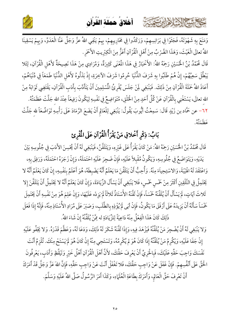أَخْلاقُ حَمِلَة الْقُراَن



وَمَنَعَ بِهِ شَهْوَتَهُ، فَجَثَوْا فِي بَرَانِسِهِمْ، وَرَكَدُوا فِي مَحَارِيبِهِمْ، بِهِمْ يَنْفِي اللهُ عزَّ وَجَلَّ عَنَّا الْعَدَوَّ، وَبِهِمْ يَسْقِينَا اللهُ تعالَى الْغَيْثَ، وَهَذَا الضَّرْبُ مِنْ أَهْلِ الْقُرْآنِ أَعَزُّ مِنَ الْكِبْرِيتِ الأَحْمَرِ.

بحاحمته الخلافاريتون

قَالَ مُحَمَّدُ بْنُ الْحُسَيْنِ رَحِمَهُ اللهُ: الأَخْبَارُ فِي هَذَا الْمُعْنَى كَثِيرَةٌ، وَمُرَادِي مِنْ هَذَا نَصِيحَةٌ لأَهْلِ الْقُرْآنِ، لِئَلا يَبْطُلَ سَعِيُهُمْ، إِنْ هُمْ طَلَبُوا بِهِ شَرَفَ الدُّنْيَا حُرِمُوا شَرَفَ الآخِرَةِ، إِذْ بَذَلُوهُ لأَهْل الدُّنْيَا طَمَعَاً فِي دُنْيَاهُمْ، أَعَاذَ اللهُ حَمَلَةَ الْقُرْآنِ مِنْ ذَلِكَ. فَيَنْبَغِي لَمِنْ جَلَسَ يُقْرِئُ الْمُسْلِمِينَ أَنْ يَتَأَدَّبَ بِأَدَبِ الْقُرْآنِ، يَقْتَضِي ثَوَابَهُ مِنْ الله تعالَى، يَسْتَغْنِي بِالْقُرْآنِ عَنْ كُلِّ أَحَدٍ مِنْ الْخَلْقِ، مُتَوَاضِعٌ فِي نَفْسِهِ لِيَكُونَ رَفِيعَاً عِنْدَ الله جَلَّتْ عَظَمَتُهُ. ٦٢ – عن حَمَّاد بن زَيْدٍ قَالَ: سَمِعْتُ أَيُّوبَ يَقُولُ: يَنْبَغِي لِلْعَالِمِ أَنْ يَضَعَ الرَّمَادَ عَلَى رَأْسِهِ تَوَاضُعَاً لله جَلَّتْ ء<br>عَظَهَتُهُ.

### بَابُ: ذِكْرٍ أَخْلاقِ مَنْ يَقْرَأُ الْقُرْآنِ عَلَى الْمُقْرِئ

قَالَ مُحَمَّدُ بْنُ الْحُسَيْنِ رَحِمَهُ اللهُ: مَنْ كَانَ يَقْرَأُ عَلَى غَيْرِهِ، وَيَتَلَقَّنُ، فَيَنْبَغِي لَهُ أَنْ يُحْسِنَ الأَدَبَ فِي جُلُوسِهِ بَيْنَ يَدَيْهِ، وَيَتَوَاضَعُ فِي جُلُوسِهِ، وَيَكُونُ مُقْبِلاً عَلَيْهِ، فَإِنْ ضَجِرَ عَلَيْهِ احْتَمَلَهُ، وَإِنْ زَجَرَهُ احْتَمَلَهُ، وَرَفِقَ بِهِ، وَاعْتَقَدَ لَهُ الْهَيْبَةَ، وَالاسْتِحِياَءَ مِنْهُ. وَأُحِبُّ أَنْ يَتَلَقَّنَ مَا يَعْلَمُ أَنَّهُ يَضْبِطَهُ، هُوَ أَعْلَمُ بِنَفْسِهِ، إِنْ كَانَ يَعْلَمُ أَنَّهُ لا يَحْتَمِلُ فِي التَّلْقِينِ أَكْثَرَ مِنْ خَمْسٍ خَمْسٍ، فَلا يَنْبَغِي أَنْ يَسْأَلَ الزِّيَادَةَ، وَإِنْ كَانَ يَعْلَمُ أَنَّهُ لا يَحْتَمِلُ أَنْ يَتَلَقَّنَ إِلا ثَلاثَ آيَاتٍ، لَمْ يَسْأَلْ أَنْ يُلَقِّنَهُ خَمْسَاً، فَإِنْ لَقَّنَهُ الأُسْتَاذُ ثَلاثَاً لَمْ يَزِدْه عَلَيْهَا، وَإِنْ عَلِمَ هُوَ مِنْ نَفْسِهِ أَنْ يَحْتَمِلَ خَمْسَاً سَأَلَهُ أَنْ يَزِيدَهُ عَلَى أَرْفَقَ مَا يَكُونُ، فَإِنْ أَبَى لَمْ يُؤْذِهِ بِالطَّلَبِ، وَصَبَرَ عَلَى مُرَادِ الأُسْتَاذِ مِنْهُ، فَإِنَّهُ إِذَا فَعَلَ ذَلِكَ كَانَ هَذَا الْفِعْلُ مِنْهُ دَاعِيَةً لِلزِّيَادَةِ له مِمَّنْ يُلَقِّنُهُ إِنْ شَاءَ اللهُ.

وَلا يَنْبَغِي لَهُ أَنْ يُضْجِرَ مَنْ يُلَقِّنُهُ فَيَزْهَدَ فِيهِ، وَإِذَا لَقَّنَهُ شَكَرَ لَهُ ذَلِكَ، وَدَعَا لَهُ، وَعَظَّمَ قَدْرَهُ. وَلا يَجْفُو عَلَيْهِ إِنْ جَفَا عَلَيْهِ، وَيْكُرِمُ مَنْ يُلَقِّنُهُ إِذَا كَانَ هُوَ لِم يُكْرِمُهُ، وَتَسْتَحِي مِنْهُ إِنْ كَانَ هُوَ لَمْ يَسْتَحْ مِنْكَ. تُلْزِمُ أَنْتَ نَفْسَكَ وَاجِبَ حَقِّهِ عَلَيْكَ، فَبِالْحَرِيِّ أَنْ يَعْرِفَ حَقَّكَ، لأَنَّ أَهْلَ الْقُرْآنِ أَهْلُ خَيْرٍ وَتَيَقَّظٍ وَأَدَبٍ، يَعْرِفُونَ الْحَقَّ عَلَى أَنْفُسِهِمْ. فَإِنْ غَفَلَ عَنْ وَاجِبِ حَقِّكَ، فَلا تَغْفَلْ أَنْتَ عَنْ وَاجِبِ حَقِّهِ، فَإِنَّ اللهَ عَزَّ وَجَلَّ قَدْ أَمَرَكَ أَنْ تَعْرِفَ حَقَّ الْعَالِمِ، وَأَمَرَكَ بِطَاعَةِ الْعُلَمَاءِ، وَكَذَا أَمَرَ الرَّسُولُ صَلَّى اللهُ عَلَيْهِ وَسَلَّمَ.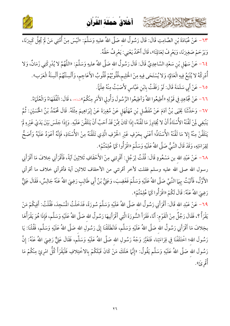

كالمشتالات دابرتهمة



٦٣ – عَنْ عُبَادَةَ بْنِ الصَّامِتِ قَالَ: قَالَ رَسُولُ الله صَلَّى اللهُ عليهِ وَسَلَّمَ: «لَيْسَ مِنْ أُمَّتِي مَنْ لَمْ يُجِلَّ كَبِيرَنَا، وَيَرْحَمْ صَغِيرَنَا، وَيَعْرِفْ لِعَالِمَنَا»، قَالَ أَحْمَدُ يَعْنِي: يَعْرِفُ حَقَّهُ.

٢٤- عَنْ سَهْلٍ بْنِ سَعْدٍ السَّاعِدِيِّ قَالَ: قَالَ رَسُولُ الله صَلَّى اللهُ عليهِ وَسَلَّمَ: «اللَّهُمَّ لا يُدْرِكْنِي زَمَانٌ، وَلا أُدْرِكُهُ لا يُتْبَعُ فِيهِ الْعَالِمُ، وَلا يُسْتَحَى فِيهِ مِنْ الْحَلِيمِ،قُلُوبُهُمْ قُلُوبُ الأَعَاجِمِ، وَأَلْسِنَتُهُمْ أَلْسِنَةُ الْعَرَبِ». ٦٥- عَنْ أَبِي سَلَمَةَ قَالَ: لَوْ رَفَقْتُ بِابْنِ عَبَّاسٍ لأَصَبْتُ مِنْهُ عِلْمَاً.

٦٦- عَنْ مُجَاهِدٍ فِي قَوْلِهِ «أَطِيعُوا اللهُ وَأَطِيعُوا الرَّسُولَ وَأُولِي الأَمْرِ مِنْكُمْ»شههم. قَالَ: الْفُقَهَاءُ وَالْعُلَمَاءُ. ٦٧- وَحَدَّثَنَا يَحْيَى بْنُ آدَمَ عَنْ مُفَضَّل بْنِ مُهَلْهَل عَنْ مُغِيرَةَ عَنْ إِبْرَاهِيمَ مِثْلَهُ. قَالَ مُحَمَّدُ بْنُ الْحُسَيْنِ: ثُمَّ يَنْبَغِي لَنْ لَقَّنَهُ الأُسْتَاذُ أَنْ لا يُجَاوِزَ مَا لَقَّنَهُ، إِذَا كَانَ مِمَّنْ قَدْ أَحَبَّ أَنْ يَتَلَقَّنَ عَلَيْهِ. وَإِذَا جَلَسَ بَيْنَ يَدَيْ غَيْرِهِ لَمْ يَتَلَقَّنْ مِنْهُ إِلا مَا لَقَّنَهُ الأُسْتَاذُ؛ أَعْنَي بِحَرْفٍ غَيْرِ الْحَرْفِ الَّذِي تَلَقَّنَهُ مِنْ الأُسْتَاذِ، فَإِنَّهُ أَعْوَدُ عَلَيْهُ وَأَصَحُّ لِقِرَاءَتِهِ، وَقَدْ قَالَ النَّبِيُّ صَلَّى اللهُ عَلَيْهِ وَسَلَّمَ «اقْرَأُوا كَمَا عُلِمْتُمْ».

٦٨ – عَنْ عَبْدِ الله بن مَسْعُودٍ قَالَ: قُلْتُ لِرَجُل: أَقْرِئنِي مِنْ الأَحْقَافِ ثَلاثِينَ آيَةً، فَأَقْرَأَنِي خِلافَ مَا أَقْرَأَنِي رسول الله صلى الله عليه وسلم فقلت لأخر أقرئني من الأحقاف ثلاثين آية فأقرأني خلاف ما أقرأني الأَوَّلُ، فَأَتَيْتُ بِهَمَا النَّبِيَّ صَلَّى اللهُ عَلَيْهِ وَسَلَّمَ فَغَضِبَ، وَعَلِيُّ بْنُ أَبِي طَالِبِ رَضِيَ اللهُ عَنْهُ جَالِسٌ، فَقَالَ عَلِيٌّ رَضِيَ اللَّهُ عَنْهُ: قَالَ لَكُمْ «اقْرَأُوا كَمَا عُلِمْتُمْ».

٦٩ – عَنْ عَبْدِ الله قَالَ: أَقْرَأَنِي رَسُولُ الله صَلَّى اللهُ عَلَيْهِ وَسَلَّمَ سُورَةً، فَلَخَلْتُ المُسْجِدَ، فَقُلْتُ: أَفِيكُمْ مَنْ يَقْرَأُ ؟، فَقَالَ رَجُلٌ مِنْ الْقَوْم: أَنَا، فَقَرَأَ السُّورَةَ الَّتِي أَقْرَأَنِيهَا رَسُولُ الله صَلَّى اللهُ عَلَيْهِ وَسَلَّم، فَإِذَا هُوَ يَقْرَأُهَا بخِلافَ مَا أَقْرَأَنِي رَسُولُ الله صَلَّى اللهُ عَلَيْهِ وَسَلَّم، فَانْطَلَقْنَا إِلَى رَسُولِ الله صَلَّى اللهُ عَلَيْهِ وَسَلَّم، فَقُلْنَا: يَا رَسُولَ الله؛ اخْتَلَفْنَا فِي قِرَاءَتِنا، فَتَغَيَّرَ وَجْهُ رَسُولِ الله صَلَّى اللهُ عَلَيْهِ وَسَلَّم، فَقَالَ عَلِيٌّ رَضِيَ اللهُ عَنْهُ: إِنَّ رَسُولَ الله صَلَّى اللهُ عَلَيْهِ وَسَلَّم يَقُولُ: «إِنَّمَا هَلَكَ مَنْ كَانَ قَبْلَكُمْ بِالاخْتِلافِ فَلْيَقْرَأْ كُلُّ امْرِئٍ مِنْكُمْ مَا <sup>قم</sup>ُوْرِئِ».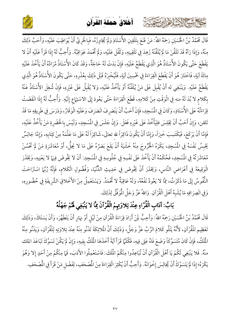### أَخْلاقُ حَمِلَة الْقُراَن

كالحشيم الشاهايرت عثث



مِنْهُ، وَإِذَا رَاَهُ قَدْ تَلَقَّنَ مَا لَمْ يُلَقِّنْهُ زَهِدَ فِي تَلْقِينِهِ، وَتَقُلَ عَلَيْهِ، وَلَمْ ثُحْمَدْ عَوَاقِبُهُ. وَأُحِبُّ لَهُ إِذَا قَرَأَ عَلَيْهِ أَنْ لا يَقْطَعَ حَتَّى يَكُونَ الأُسْتَاذُ هُوَ الَّذِي يَقْطَعُ عَلَيْهِ، فَإِنْ بَدَتْ لَهُ حَاجَةٌ، وَقَدْ كَانَ الأُسْتَاذُ مُرَادُهُ أَنْ يَأْخُذَ عَلَيْهِ مِائَةَ آيَةٍ، فَاخْتَارَ هُوَ أَنْ يَقْطَعَ الْقِرَاءَةَ فِي خَمْسِينَ آيَةٍ، فَلْيُخْبِرْهُ قَبْلَ ذَلِكَ بِعُذْرِهِ، حَتَّى يَكُونَ الأُسْتَاذُ هُوَ الَّذِي يَقْطَعُ عَلَيْهِ. وَيَنْبَغِي له أَنْ يُقْبِلَ عَلَى مَنْ يُلَقِّنُهُ أَوْ يَأْخُذُ عَلَيْهِ، وَلا يُقْبِلُ عَلَى غَيْرِهِ، فَإِنْ شُغِلَ الأُسْتَاذُ عَنْهُ بِكَلام لا بُدَ لَهُ منه فِي الْوَقْتِ مِنْ كَلامِهِ، قَطَعَ الْقِرَاءَةَ حَتَّى يَعُودَ إِلَى الاسْتِهَاع إِلَيْهِ. وَأُحِبُّ لَهُ إِذَا انْقَضَتْ قِرَاءَتُهُ عَلَى الأُسْتَاذِ، وَكَانَ فِي الْمُسْجِدِ، فَإِنْ أَحَبَّ أَنْ يَنْصَرِفَ انْصَرَفَ وَعَلَيْهِ الْوَقَارُ، وَدَرَسَ فِي طَرِيقِهِ مَا قَدْ تَلقن، وَإِنْ أَحَبَّ أَنْ يَجْلِسَ فلِيَأْخُذَ عَلَى غَيْرِهِ فَعَلَ. وَإِنْ جَلَسَ فِي الْمُسْجِدِ، وَلَيْسَ بِالْحَضْرِةِ مَنْ يَأْخُذُ عَلَيْهِ، فَإِمَّا أَنْ يَرْكَعَ، فَيَكْتَسِبَ خَيرَاً، وَإِمَّا أَنْ يَكُونَ ذَاكِرَاً لله تعالَى، شَاكِرَاً لَهُ عَلَى مَا عَلَّمَهُ مِنْ كِتَابِهِ، وَإِمَّا جَالِسٌ يَحْبِسُ نَفْسَهُ فِي الْمُسْجِدِ، يَكْرَهُ الْخُرُوجَ مِنْهُ خَشْيَةَ أَنْ يَقَعَ بَصَرُهُ عَلَى مَا لا يَحِلُّ، أَوْ مُعَاشَرَةِ مَنْ لَمْ تَحْسُنْ مُعَاشَرَتُهُ فِي الْمُسْجِدِ، فَحُكْمُهُ أَنْ يَأْخُذَ عَلَى نَفْسِهِ فِي جُلُوسِهِ فِي الْمُسْجِدِ: أَنْ لا يَخُوضَ فِيهَا لا يَعْنِيهِ، وَيَحْذَرَ الْوَقِيعَةَ فِي أَعْرَاضِ النَّاسِ، وَيَحْذَرَ أَنْ يَخُوضَ فِي حَدِيثِ الدَّنْيَا، وَفُضُولِ الْكَلام، فَإِنَّهُ رُبَّهَا اسْتَرَاحَتْ النُّفُوسُ إِلَى مَا ذَكَرْتُ، مِمَّا لا يَعُودُ نَفْعُهُ، وَلَهُ عَاقِبَةٌ لا تُحْمَدُ. وَيَسْتَعْمِلُ مِنْ الأَخْلاقِ الشَّرِيفَةِ فِي حُضُورِهِ، وَفِي انْصِرَافِهِ مَا يُشْبِهُ أَهْلَ الْقُرْآنِ. وَاللهُ عَزَّ وَجَلَّ الْمُوَفِّقُ لِذَلِكَ.

### بَابُ: آدَابِ الْقُرَّاءِ عِنْدَ تِلاوَتِهِمْ الْقُرْآنَ مِمَّا لا يَنْبَغِي لَهُمْ جَهْلُهُ

قَالَ مُحَمَّدُ بْنُ الْحُسَيْنِ رَحِمَهُ اللهُ: وَأَحِبُّ لِمَنْ أَرَادَ قِرَاءَةَ الْقُرْآنِ مِنْ لَيْلِ أَوْ نِهَارٍ أَنْ يَتَطَهَّرَ، وَأَنْ يَسَتَاكَ، وَذَلِكَ تَعْظِيم للْقُرْآنِ، لأَنَّهُ يَتْلُو كَلامَ الرَّبِّ عَزَّ وَجَلَّ، وَذَلِكَ أَنَّ الْمَلائِكَةَ تَدْنُو مِنْهُ عِنْدَ تِلاوَتِهِ لِلْقُرْآنِ، وَيَدْنُو مِنْهُ الْمَلَكُ، فَإِنْ كَانَ مُتَسَوِّكَاً وَضَعَ فَاهُ عَلِى فِيهِ، فَكُلَّمَا قَرَأَ آيَةً أَخَذَهَا الْمَلَكُ بِفِيهِ، وَإِنْ لَمْ يَكُنْ تَسَوَّكَ تَبَاعَدَ الملك منْهُ. فَلا يَنْبَغِي لَكُمْ يَا أَهْلَ الْقُرْآنِ أَنْ تُبَاعِدُوا مِنْكُمْ الْمَلَكَ: فَاسْتَعْمِلُوا الأَدَبَ، فَمَا مِنْكُمْ مِنْ أَحَدٍ إِلا وَهُوَ يَكْرَهُ؛ إِذَا لَمْ يَتَسَوَّكْ أَنْ يُجَالِسَ إِخْوَانَهُ. وَأَحِبُّ أَنْ يُكْثِرَ الْقِرَاءَةَ مِنْ المُصْحَفِ، لِفَضْلِ مَنْ قَرَأَ فِي المُصْحَفِ.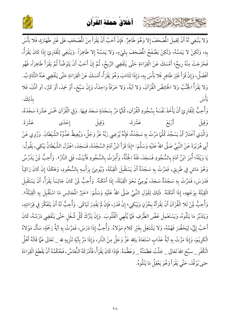أخلاق حملة القرآن ِ ِ ْ ُ ْ َ َ َ ُ ْ َ

كالحشيخ الشاها ارتقت



وَلا يَنْبَغِي لَهُ أَنْ يَحْمِلَ الْمُمْحَفَ إِلا وَهُوَ طَاهِرٌ. فَإِنْ أَحَبَّ أَنْ يَقْرَأَ مِنْ الْمُمْحَفِ عَلَى غَيْرِ طَهَارَةٍ، فَلا بَأْسَ بِهِ، وَلَكِنْ لا يَمَسَّهُ، وَلَكِنْ يَصَّفَحُ الْمُصْحَفَ بِشَيْءٍ  $\overline{\phantom{a}}$ وَلَكِنْ يَصَّفَحُ الْمُصْحَفَ بِشَيْءٍ، وَلا يَمَسَّهُ إِلا طَاهِرَاً. وَيَنْبَغِي لِلْقَارِئِ إِذَا كَانَ يَقْرَأْ، J فَخَرَجَتْ مِنْهُ رِيحٌ؛ أَمْسَكَ عَنْ الْقِرَاءَةِ حَتَّى يَنْقَضِي الرِّيحُ، ثُمَّ إِنْ أَحَبَّ أَنْ يَتَوَضَّأَ ثُمَّ يَقْرَأَ طَاهِرَاً، فَهُو  $\ddot{\phantom{0}}$ أَفْضَلُ، وَإِنْ قَرَأَ غَيْرَ طَاهِرٍ فَلا بَأْسَ بِهِ إِنْ قَرَأَ غَيْرَ طَاهِرٍ فَلا بَأْسَ بِهِ، وَإِذَا تَثَاءَبَ وَهُوَ يَقْرَأُ، أَمْسَكَ عَنْ الْقِرَاءَةِ حَتَّى يَنْقَضِي عَنْهُ التَّتَاؤبُ. وَلا يَقْرَأُ الْجُنُبُ وَلا الْحَائِضُ الْقُرْآنَ، وَلا آيَةً، وَلا حَرْفَاً وَاحِدَاً، وَإِنْ سَبَّحَ، أَوْ حَمِدَ، أَوْ كَبَّرَ، أو أذَّنَ، فَلا í بِذَلِكَ ۖ يَا أَسَى ۚ يَذَلِكَ ۖ يَا يَسْتَقِيلُ مِنْ الْمَرْسَلِينَ ۚ يَا إِنَّ لَهُ إِنَّ لَا يَجْتَلِكَ لِ بِذَلِكَ. ئے<br>بامبر أ

وَأُحِبُّ لِلْقَارِئِ أَنْ يَأْخَذَ نَفْسَهُ بِسُجُودِ الْقُرْآنِ، كُلَّمَا مَرَّ بِسَجْدَةٍ سَجَدَ فِيهَا. وَفِي الْقُرْآنِ خَمْسَ عَشْرَةَ سَجْدَةً، ZL  5O-8 عَشْرَةَ، قِيلَ أَ وَقِيل إِحْدَى عَشْرَةً ، وَقِيل إحْدَى عَشْرَة رَةً. قِيلَ إ وَالَّذِي أَخْتَارُ أَنْ يَسْجُدَ كُلَّمَا مَرَّتْ بِهِ سَجْدَةٌ، فَإِنَّهُ يُرْضِي رَبَّهُ عَزَّ وَجَلَّ، وَيُغِيظُ عَدُوَّهُ الشَّيْطَانَ. وَرُوِي عَنْ أَبِي هُرَيْرَةَ عَنْ النَّبِيِّ صَلَّى اللهُ عَلَيْهِ وَسَلَّمَ: «إِذَا قَرَأَ ابْنُ آدَمَ السَّجْدَةَ، فَسَجَدَ، اعْتَزَلَ الشَّيْطَانُ يَبْكِي مْتَزَلْ الشَّيْطَانُ يَبْكِي، يَقُولُ: يَا وَيْلَهُ؛ أُمِرَ ابْنُ آدَمَ بِالسُّجُودِ فَسَجَدَ، فَلَهُ الجُنَّةُ، وَأُمِرْتُ بِالسُّجُودِ فَأَبَيْتُ، فَلِي النَّارُ». وَأُحِبُّ لَمِنْ يَدْرُسُ وَهُوَ مَاشٍ فِي طَرِيقٍ، فَمَرَّتْ بِهِ سَجْدَةٌ أَنْ يَسْتَقْبِلَ الْقِبْلَةَ، وَيُومِعَ بِرَأْسِ أ وَيُومِعَ بِرَأْسِهِ بِالسُّجُودِ، وَهَكَذَا إِنْ كَانَ رَاكِبَاً هَكَذَا إِنْ كَانَ رَ فَدَرَسَ، فَمَرَّتْ بِهِ سَجْدَةٌ سَجَدَ، يُومِئْ نَحْوَ الْقِبْلَةَ، إِذَا أَمْكَنَهُ. وَأُحِبُّ لَمِنْ كَانَ جَالِسَاً يَقْرَأُ، أَنْ يَسْتَقْبِلَ الْقِبْلَةَ بِوَجْهِهِ، إِذَا أَمْكَنَهُ. ذَلِكَ لِقَوْلِ النَّبِيِّ صَلَّى اللهُ عَلَيْهِ وَسَلَّمَ: «خَيْرُ المُجَالِسِ مَا اسْتُقْبِلَ بِهِ الْقِبْلَةُ».  $\overline{\phantom{a}}$ ؛ وَأُحِبُّ لَمِنْ تَلا الْقُرْآنَ أَنْ يَقْرَأَهُ بِحُزْنٍ وَيَبْكِي؛ إِنْ قَدَرَ، فَإِنْ لَمْ يَقْدِرْ تَبَاكَى. وَأُحِبُّ لَهُ أَنْ يَتَفَكَّرَ فِي قِرَاءَتِهِ،  $\ddot{\phantom{0}}$  وَيَتَدَبَّرَ مَا يَتْلُوهُ، وَيَسْتَعْمِلَ غَضَّ الطَّرْفِ عَمَّا يُلْهِي الْقُلُوبَ. وَإِنْ يَتْرُكْ كُلَّ شُغْلٍ حَتَّى يَنْقَضِي دَرْسُهُ، كَانَ أَحَبَّ إِلَيَّ، لِيَحْضُرَ فَهْمُهُ، وَلا يَشْتَغِلَ بِغَيْرِ كَلامٍ مَوْلاهُ. وَأُحِبُّ إِذَا دَرَسَ، فَمَرَّتْ بِهِ آيَةُ رَحْمَةٍ، سَأَلَ مَوْلاهُ الْكَرِيْمَ، وَإِذَا مَرَّتْ بِهِ آيَةٌ عَذَابٍ اسْتَعَاذَ باِللهِ عَزَّ وَجَلَّ مِنْ النَّارِ، وَإِذَا مَرَّ بِآيَةِ تَنْزِيهٍ للهِ \_ تَعَالَى عَمَّا قَالَهُ أَهْلُ i الْكُفْرِ \_ سبَّحَ اللهَ تَعَالَى \_ جَلَّتْ عَظَمَتُهُ \_ وَعَظَّمَهُ. فَإِذَا كَانَ يَقْرَأُ، فَأَدْرَكَهُ النُّعَاسُ، فَحُكْمُهُ أَنْ يَقْطَعَ الْقِرَاءَةَ j حتى يَرْقُدَ، حَتَّى يَقْرَأَ وَهُوَ يَعْقِلُ مَا يَتْلُوهُ.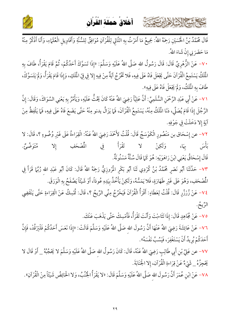

كالمشتم الشلاها بربته يتمته



مَا حَضَرَ بِي إِنْ شَاءَ اللهُ.

٧٠ – عَنْ الزُّهْرِيِّ قَالَ: قَالَ رَسُولُ الله صَلَّى اللهُ عَلَيْهِ وَسَلَّمَ: «إِذَا تَسَوَّكَ أَحَدُكُمْ، ثُمَّ قَامَ يَقْرَأُ، طَافَ بِهِ الْمَلَكُ يَسْتَمِعُ الْقُرْآنَ حَتَّى يَجْعَلَ فَاهُ عَلَى فِيهِ، فَلا تَخْرُجُ آيَةٌ مِنْ فِيهِ إِلا فِي فِيّ الْمَلَكِ، وَإِذَا قَامَ يَقْرَأُ، وَلَمْ يَتَسَوَّكْ، طَافَ بِهِ الْمُلَكُ، وَلَمْ يَجْعَلْ فَاهُ عَلَى فِيهِ».

٧١– عَنْ أَبِي عَبْدِ الرَّحْمَنِ السُّلَمِيِّ: أَنَّ عَلِيَّاً رَضِيَ اللهُ عَنْهُ كَانَ يَحُثُّ عَلَيْهِ، وَيَأْمُرُ بِهِ يَعْنِى السِّوَاكَ، وَقَالَ: إِنَّ الرَّجُلَ إِذَا قَامَ يُصَلِّي، دَنَا الْمَلَكُ مِنْهُ، يَسْتَمِعُ الْقُرْآنَ، فَمَا يَزَالُ يدنو مِنْهُ حَتَّى يَضَعَ فَاهُ عَلَى فِيهِ، فَمَا يَلْفِظُ مِنْ آيَةٍ إِلاَّ دَخَلَتْ فِي جَوْفِهِ.

٧٢- عن إِسْحَاق بن مَنْصُورِ الْكَوْسَجُ قَالَ: قُلْتُ لأَحْمَدَ رَضِيَ اللهُ عَنْهُ: الْقِرَاءةُ عَلَى غَيْر وُضُوءٍ ؟، قَالَ: لا بَأْسَ بِهَا، وَلَكِنْ لا تَقْرَأْ فِي ه ئەرگە قسم المُصْحَفِ  $Y_{\frac{1}{2}}$ قَالَ إِسْحَاقُ يَعْنِي ابْنَ رَاهَوَيْهِ: هُوَ كَمَا قَالَ سُنَّةٌ مَسْنُونَةٌ.

٧٣– حَدَّثَنَا أَبُو نَصْرٍ مُحَمَّدُ بْنُ كُرْدِي ثَنَا أَبُو بَكْرٍ الْمُرْوزِيُّ رَحِمَهُ اللهُ قَالَ: كَانَ أَبُو عَبْدِ الله رُبَّهَا قَرَأَ فِي الْمُصْحَفِ، وَهُوَ عَلَى غَيْرِ طَهَارَةٍ، فَلا يَمَسُّهُ، وَلَكِنْ يَأْخُذُ بِيَدِهِ عُودَاً، أَوْ شَيْئَاً يَصَّفَحُ بِهِ الْوَرَقَ.

٧٤– عَنْ زُرْزُرٍ قَالَ: قُلْتُ لِعَطَاءٍ: أَقْرَأُ الْقُرْآنَ فَيَخْرُجُ مِنِّي الرِّيحُ ؟، قَالَ: تُمْسِكُ عَنْ الْقِرَاءةِ حَتَّى يَنْقَضِي الرَّيحُ.

٧٥- عَنْ مُجَاهِدٍ قَالَ: إِذَا تَثَاءبْتَ وَأَنْتَ تَقْرَأُ، فَأَمْسِكْ حَتَّى يَذْهَبَ عَنْكَ.

٧٦– عَنْ عَائِشَةَ رَضِىَ اللهُ عَنْهَا أَنَّ رَسُولَ الله صَلَّى اللهُ عَلَيْهِ وَسَلَّمَ قَالَتْ: «إِذَا نَعَسَ أَحَدُكُمْ فَلْيَرْقُدْ، فَإِنَّ أَحَدَكُمْ يُرِيدُ أَنْ يَسْتَغْفِرَ ، فَيَسُبَّ نَفْسَهُ».

٧٧– عن عَلِيٍّ بْنِ أَبِي طَالِبٍ رَضِيَ اللهُ عَنْهُ، قَالَ: كَانَ رَسُولُ الله صَلَّى اللهُ عَلَيْهِ وَسَلَّمَ لا يَحْجُبُهُ \_ أَوْ قَالَ لا يَحْجِزُهُ \_ شَيْءٌ عَنْ قِرَاءةِ الْقُرْآنِ، إِلا الْجَنَابَةَ.

٧٨- عَنْ ابْنِ عُمَرَ أَنَّ رَسُولَ الله صَلَّى اللهُ عَلَيْهِ وَسَلَّمَ قَالَ: «لا يَقْرَأُ الْجُنُبُ، وَلا الْحَائِضُ شَيْئَاً مِنْ الْقُرْآنِ».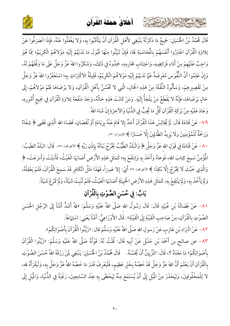أخلاق حملة القرآن ِ ِ ْ ُ ْ َ َ َ ُ ْ َ

كالمشتم الشلاه الرئيسة



قَالَ مُحَمَّدُ بْنُ الْحُسَيْنِ: جَمِيعُ مَا ذَكَرْتُهُ يَنْبَغِي لأَهْلِ الْقُرْآنِ أَنْ يَتَأَدَّبُوا بِهِ، وَلا يَغْفَلُوا عَنْهُ، فَإِذَا انْصَرَفُوا عَنْ î ز تِلاوَةِ الْقُرْآنِ اعْتَبَرُوا أَنْفَسَهُمْ بِالْمَحَاسَبَةِ لَهَا، فَإِنْ تَبَيَّنُوا مِنْهَا قَبُولَ مَا نَدَبَهُمْ إِلَيْهِ مَوْلاهُمْ الْكَرِيْمُ؛ مِمَّا هُوَ J í وَاجِبٌ عَلَيْهِمْ مِنْ أَدَاءِ فَرَائِضِهِ هِمْ مِنْ أَدَاءِ فَرَائِضِهِ، وَاجْتِنَابِ مَحَارِمِهِ، حَمِدُوهُ فِي ذَلِكَ، وَشَكَرُوا اللهَ عَزَّ وَجَلَّ عَلَى مَا وَفَّقَهُمْ لَهُ، وَإِنْ عَلِمُوا أَنَّ النُّفُوَس مُعْرِضَةٌ عَمَّا نَدَبَهُمْ إِلَيْهِ مَوْلاهُمْ الْكَرِيْمُ، قَلِيلَةُ الاكْتِرَاثِ  $\overline{a}$ قَلِيلَةُ الاكْتِرَاثِ بِهِ؛ اسْتَغْفَرُوا اللهَ عَزَّ وَجَلَّ مِنْ تَقْصِيرِهِمْ، وَسَأَلُوهُ النُّقْلَةَ مِنْ هَذِهِ الْحَالِ سَأَلُوهُ النُّقْلَةَ مِنْ هَذِهِ الْحَ وَسَأَلُوهُ النُّقْلَةَ مِنْ هَذِهِ الْحَالِ، الَّتِي لا تَحْسُنُ بِأَهْلِ الْقُرْآنِ لَّتِي لا تَحْسُنُ بِأَهْلِ الْقُرْآنِ، وَلا يَرْضَاهَا لَهُمْ مَوْلاهُمْ، إِلَى å حَالٍ يَرْضَاهَا، فَإِنَّهُ لا يَقْطَعُ مَنْ يَلْجَأُ إِلَيْهِ فَإِنَّهُ لا يَقْطَعُ مَنْ يَلْجَأُ إِلَيْهِ. وَمَنْ كَانَتْ هَذِهِ حَالُهُ، وَجَدَ مَنْفَعَةَ تِلاوَةِ الْقُرْآنِ فِي جَمِيعِ أُمُورِهِ، وَعَادَ عَلَيْهِ مِنْ بَرَكَةِ الْقُرْآنِ كُلُّ مَا يُحِبُّ فِي الدُّنْيَا وَالآخِرَةِ إِنْ شَاءَ اللهُ.

٧٩- عَنْ قَتَادَةَ قَالَ: لَمْ يُجَالِسْ هَذَا الْقُرْآنَ أَحَدٌ إِلا قَامَ عَنْهُ بِزِيَادَةٍ أَوْ نُقْصَانٍ، قَضَاءَ اللهِ الَّذِي قَضَى ﴿ شِفَاءٌ ا J  $\overline{a}$ وَرَحْمَةٌ لّلْمُؤْمِنِينَ ولَا يَزِيدُ الظَّالِمِينَ إِلَّا خَسَارًا ﴾ الإسراء: ٨٢.

٨٠ – عَنْ قَتَادَةَ فِي قَوْلِ اللهِ عَزَّ وَجَلَّ ﴿ وَالْبَلَدُ الطَّيِّبُ يَخْرُجُ نَبَاتُهُ بِإِذْنِ رَبِّهِ باته بإدنِ رَ<u>ّ</u> نَبَاتُهُ بِإِذْنِ رَبِّهِ ﴾ الأعراف: ٥٨، قَالَ: البَلَدُ الطَّيبُ:  $\ddot{\cdot}$ المُؤْمِنُ سَمِعَ كِتابَ اللهِ، فَوعاهُ وَأَخَذَ بِهِ وَانتَفَعَ بِهِ؛ كَمَثَلِ هَذِهِ الأَرْضِ أَصَابَهَا الْغَيْثُ، فَأَنبَتَتْ وَأَمرَعَتْ، ﴿ وَالَّذِي خَبُثَ لَا يَخْرُجُ إِلَّا نَكِدًا ﴾ الأعراف: ٥٨ أَيْ: إِلا عَسِرَاً 1 إِلا عَسِرَاً، فَهَذَا مَثَلُ الْكَافِرِ قَدْ سَمِعَ الْقُرْآنَ، فَلَمْ يَعْقِلْهُ،  $\overline{\phantom{a}}$  $\mathbf{L}$ وَلَمْ يَأْخُذْ بِهِ، وَلَمْ يَنْتَفِعْ بِهِ، كَمَثَلِ هَذِهِ الأَرْضِ الْخَبِيثَةِ أَصَابَهَا الْغَيْثُ، فَلَمْ تُنْبِتْ شَيْئاً، وَلَمْ تَمَرْعْ شَيْئاً. أ  $\overline{a}$ 

## بَابُ: فِي حُسْنِ الصَّوْتِ بِالْقُرْآنِ

٨١− عَنْ فَضَالَةَ بْنِ عُبَيْدٍ قَالَ: قَالَ رَسُولُ اللهِ صَلَّى اللهُ عَلَيْهِ وَسَلَّمَ: «للهُ أَشَدُّ أَذَنَاً إِلَى الرَّجُلِ الْحَسَنِ الصَّوْتِ بِالْقُرْآنِ، مِنْ صَاحِبِ الْقَيْنَةِ إِلَى الْقَيْنَةِ ». قَالَ الأَوْزَاعِيُّ  $\cdot$ قَالَ الأَوْزَاعِيُّ: أَذَنَاً يَعْنِي أَذَنَاً يَعْنِي: اسْتِهَاعَاً.

> ٨٢– عَنْ الْبَرَاءِ بْنِ عَازِبٍ عَنْ رَسولِ اللهِ صَلَّى اللهُ عَلَيْهِ وَسَلَّمَ قال: «زَيِّنُوا الْقُرْآنَ بِأَصْوَاتِكُمْ زَيِّنُوا الْقَرْآنَ بِأَصْوَاتِكُمْ».

٨٣- عن صالح بن أَحْمَدَ بْنِ حَنْبَلَ عَنْ أَبِيهِ قَالَ: قُلْتُ لَهُ: قَوْلُهُ صَلَّى اللهُ عَلَيْهِ وَسَلَّمَ: «زَيّْنُوا الْقُرْآنَ ز بأَصْوَاتِكُمْ بِأَصْوَاتِكُمْ» مَا مَعْنَاهُ ؟، قَالَ: التَّزْيِينُ أَنْ يُحَسِّنَهُ. قَالَ مُحَمَّدُ بْنُ الخُسَيْنِ: يَنْبَغِي لِمَنْ رَزَقَهُ اللهُ حُسْنَ الصَّوْتِ بِالْقُرْآنِ أَنْ يَعْلَمَ أَنَّ اللهَ عَزَّ وَجَلَّ قَدْ خَصَّهُ بِخَيْرٍ عَظِيمٍ، فَلْيَعْرِفْ قَدَرَ مَا خَصَّهُ اللهُ عَزَّ وَجَلَّ بِهِ، وَلْيَقْرَأْهُ لله،  $\frac{1}{2}$ لا لِلْمَخْلُوقِينَ، وَلِيَحْذَرْ مِنْ الْمَيْلِ إِلَى أَنْ يُسْتَمَعَ مِنْهُ لِيَحْظَى بِهِ عِنْدَ السَّامِعِينَ، رَغْبَةً فِي الدُّنْيَا، وَالْمَيْلِ إِلَى  $\ddot{\bm{s}}$ ֖֖ׅׅׅ֧֪ׅ֧֪֪ׅ֧֚֚֚֚֚֚֚֚֚֚֚֚֚֚֚֚֚֚֚֚֡֕֡֡֡֝֬֓֡֡֬֝֓֓֡֬֝֓֞֓֡֬֝֬֝֓֞֓֡֬֝֓֬֝֬֝֬֝֝֬֝֝֬֝֬֝֬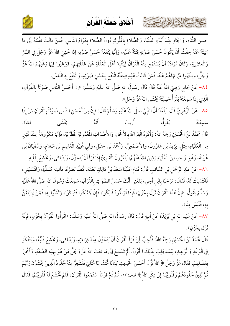أخلاق حملة القرآن

كالمشتالات دابرت



حسن الثَّنَاءِ، وَالْجَاهِ عِنْدَ أَبْنَاءِ الدُّنْيَا، وَالصَّلاةِ بِالْمُلُوكِ دُونَ الصَّلاةِ بِعَوَامٍّ النَّاس. فَمَنْ مَالَتْ نَفْسُهُ إَلَى مَا نَهَيْتُهُ عَنْهُ خِفْتُ أَنْ يَكُونَ حُسْنَ صَوْتِهِ فِتْنَةً عَلَيْهِ، وَإِنَّهَا يَنْفَعُهُ حُسْنُ صَوْتِهِ إِذَا خَشِيَ اللَّهَ عَزَّ وَجَلَّ فِي السِّرِّ وَالْعَلانِيَةِ، وَكَانَ مُرَادُهُ أَنْ يُسْتَمَعَ مِنْهُ الْقُرْآنُ لِيَنْتَبِهَ أَهْلُ الْغَفْلَةِ عَنْ غَفْلَتِهِمْ، فَيَرْغَبُوا فِيهَا رَغَّبَهُمْ اللهُ عَزَّ وَجَلَّ، وَيَنْتَهُوا عَمَّا نَهَاهُمْ عَنْهُ. فَمَنْ كَانَتْ هَذِهِ صِفَتُهُ انْتَفَعَ بِحُسْنِ صَوْتِهِ، وَانْتَفَعَ بِهِ النَّاسُ.

٨٤– عَنْ جَابِرٍ رَضِيَ اللهُ عَنْهُ قَالَ قَالَ رَسُولُ الله صَلَّى اللهُ عَلَيْهِ وَسَلَّمَ: «إن أَحْسَنُ النَّاس صَوْتَاً بِالْقُرْآنِ، الَّذِي إذَا سَمِعْتَهُ يَقْرَأُ حَسِبْتَهُ يَخَشَى اللهَ عَزَّ وَجَلَّ».

٨٥ – عَنْ الزُّهْرِيِّ قَالَ: بَلَغَنَا أَنَّ النَّبِيَّ صَلَّى اللهُ عَلَيْهِ وَسَلَّمَ قَالَ: «إِنَّ مِنْ أَحْسَنِ النَّاس صَوْتًاً بِالْقُرْآنِ مَنْ إِذَا ر دی.<br>نیکشی اللهَ). سَمِعْتَهُ قَالَ مُحَمَّدُ بْنُ الْحُسَيْنِ رَحِمَهُ اللهُ: وَأَكْرَهُ الْقِرَاءَةَ بِالأَلْحَانِ وَالأَصْوَاتِ الْمُعْمُولَةِ الْمُطَرِّبَةِ، فَإِنَّهَا مَكْرُوهَةٌ عِنْدَ كَثِيرِ مِنَ الْعُلَمَاءِ، مِثْل: يَزِيدَ بْنِ هَارُونَ، وَالأَصْمَعِيِّ، وَأَحْمَدَ بْنِ حَنْبَلَ، وَأَبِي عُبَيْدِ الْقَاسِم بْنِ سَلام، وَسُفْيَانَ بْنِ عْيَيْنَةَ، وَغَيْرِ وَاحَدٍ مِنْ الْعُلَمَاءِ رَضِيَ اللهُ عَنْهُمْ، يَأْمُرُونَ الْقَارِئَ إِذَا قَرَأَ أَنْ يَتَحَزَّنَ، وَيَتَبَاكَى، وَيَخْشَعَ بِقَلْبِهِ. ٨٦- عَنْ عَبْدِ الرَّحْمَنِ بْنِ السَّائِبِ قَالَ: قَدِمَ عَلَيْنَا سَعْدُ بْنُ مَالِكٍ بَعْدَمَا كُفَّ بَصَرُهُ، فأتيته مُسَلِّمَاً، وَانْتَسَبَنِي، فَانْتَسَبْتُ لَهُ، فَقَالَ: مَرْحَبًا بِابْنِ أَخِي، بَلَغَنِي أَنَّكَ حَسَنُ الصَّوْتِ بِالْقُرْآنِ، سَمِعْتُ رَسُولَ الله صَلَّى اللهُ عَلَيْهِ وَسَلَّمَ يَقُولُ: «إِنَّ هَذَا الْقُرْآنَ نَزَلَ بِحُزْنٍ، فَإِذَا قَرَأْتُمُوهُ فَابْكُوا، فَإِنْ لَمْ تَبْكُوا فَتَبَاكَوْا، وَتَغَنَّوْا بِهِ، فَمَنْ لَمْ يَتَغَنَّ بِهِ، فَلَيْسَ مِنَّا».

٨٧– عَنْ عَبْدِ اللهِ بْنِ بُرَيْدَةَ عَنْ أَبِيهِ قَالَ: قَالَ رَسُولُ الله صَلَّى اللهُ عَلَيْهِ وَسَلَّمَ: «اقْرَأُوا الْقُرْآنَ بِحُزْنٍ، فَإِنَّهُ نَزَلَ بِحُزْنٍ».

قَالَ مُحَمَّدُ بْنُ الْحُسَيْنِ رَحِمَهُ اللهُ: فَأُحِبُّ لَمِنْ قَرَأَ الْقُرْآنَ أَنْ يَتَحَزَّنَ عِنْدَ قِرَاءَتِهِ، وَيَتَبَاكَى، وَيَخْشَعَ قَلْبُهُ، وَيَتَفَكَّرَ فِي الْوَعْدِ وَالْوَعِيدِ، لِيَسْتَجْلِبَ بِذَلِكَ الْخُزْنَ. أَلَمْ تَسْمَعْ إِلَى مَا نَعَتَ اللهُ عَزَّ وَجَلَّ مَنْ هُوَ بِهَذِهِ الصِّفَةِ، وَأَخْبَرَ بفَضْلِهِمْ، فَقَالَ عَزَّ وَجَلَّ ﴿ اللَّهُ نَزَّلَ أَحْسَنَ الْحَدِيثِ كِتَابًا مُّتَشَابِهًا مَّثَانِيَ تَقْشَعِرُّ مِنْهُ جُلُودُ الَّذِينَ يَخْشَوْنَ رَبَّهُمْ ثُمَّ تَلِينُ جُلُودُهُمْ وَقُلُوبُهُمْ إِلَى ذِكْرِ اللَّهَ ﴾ الزمر: ٢٣، ثُمَّ ذَمَّ قَوْمَاً اسْتَمَعُوا الْقُرْآنَ، فَلَمْ تَخْشَعْ لَهُ قُلُوبُهُمْ، فَقَالَ